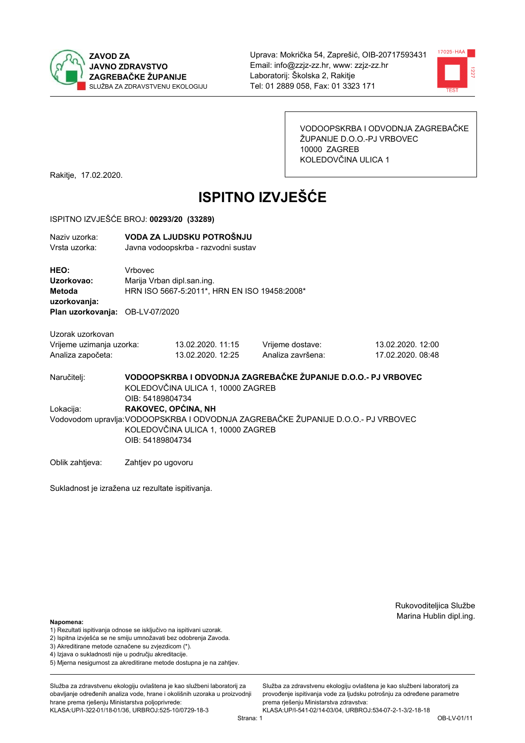



VODOOPSKRBA I ODVODNJA ZAGREBAČKE ŽUPANIJE D.O.O.-PJ VRBOVEC 10000 ZAGREB KOLEDOVČINA ULICA 1

Rakitje, 17.02.2020.

# **ISPITNO IZVJEŠĆE**

#### ISPITNO IZVJEŠĆE BROJ: 00293/20 (33289)

| Naziv uzorka:<br>Vrsta uzorka:                                    |                                         | VODA ZA LJUDSKU POTROŠNJU<br>Javna vodoopskrba - razvodni sustav           |                                                                                   |                                        |  |  |
|-------------------------------------------------------------------|-----------------------------------------|----------------------------------------------------------------------------|-----------------------------------------------------------------------------------|----------------------------------------|--|--|
| HEO:<br>Uzorkovao:<br><b>Metoda</b><br>uzorkovanja:               | <b>Vrhovec</b>                          | Marija Vrban dipl.san.ing.<br>HRN ISO 5667-5:2011*, HRN EN ISO 19458:2008* |                                                                                   |                                        |  |  |
| Plan uzorkovanja: OB-LV-07/2020                                   |                                         |                                                                            |                                                                                   |                                        |  |  |
| Uzorak uzorkovan<br>Vrijeme uzimanja uzorka:<br>Analiza započeta: |                                         | 13.02.2020. 11:15<br>13.02.2020. 12:25                                     | Vrijeme dostave:<br>Analiza završena:                                             | 13.02.2020. 12:00<br>17.02.2020. 08:48 |  |  |
| Naručitelj:                                                       | OIB: 54189804734                        | KOLEDOVČINA ULICA 1, 10000 ZAGREB                                          | VODOOPSKRBA I ODVODNJA ZAGREBAČKE ŽUPANIJE D.O.O.- PJ VRBOVEC                     |                                        |  |  |
| Lokacija:                                                         | RAKOVEC, OPĆINA, NH<br>OIB: 54189804734 | KOLEDOVČINA ULICA 1, 10000 ZAGREB                                          | Vodovodom upravlja: VODOOPSKRBA I ODVODNJA ZAGREBAČKE ŽUPANIJE D.O.O.- PJ VRBOVEC |                                        |  |  |

Oblik zahtjeva: Zahtjev po ugovoru

Sukladnost je izražena uz rezultate ispitivanja.

Rukovoditeljica Službe Marina Hublin dipl.ing.

#### Napomena:

- 1) Rezultati ispitivanja odnose se isključivo na ispitivani uzorak.
- 2) Ispitna izvješća se ne smiju umnožavati bez odobrenja Zavoda.

3) Akreditirane metode označene su zvjezdicom (\*).

- 4) Iziava o sukladnosti nije u području akreditacije.
- 5) Mjerna nesigurnost za akreditirane metode dostupna je na zahtjev.

Služba za zdravstvenu ekologiju ovlaštena je kao službeni laboratorij za obavlianie određenih analiza vode, hrane i okolišnih uzoraka u proizvodniji hrane prema rješenju Ministarstva poljoprivrede: KLASA: UP/I-322-01/18-01/36, URBROJ: 525-10/0729-18-3

Služba za zdravstvenu ekologiju ovlaštena je kao službeni laboratorij za provođenie ispitivania vode za liudsku potrošniu za određene parametre prema rješenju Ministarstva zdravstva: KLASA:UP/I-541-02/14-03/04, URBROJ:534-07-2-1-3/2-18-18

Strana: 1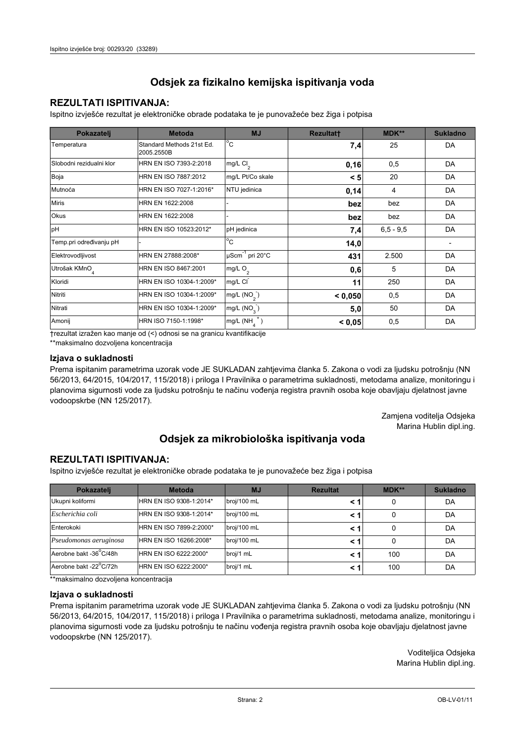## **REZULTATI ISPITIVANJA:**

Ispitno izviešće rezultat je elektroničke obrade podataka te je punovažeće bez žiga i potpisa

| Pokazatelj                | <b>Metoda</b>                           | <b>MJ</b>                   | <b>Rezultatt</b> | <b>MDK**</b>  | <b>Sukladno</b> |
|---------------------------|-----------------------------------------|-----------------------------|------------------|---------------|-----------------|
| Temperatura               | Standard Methods 21st Ed.<br>2005.2550B | $^{\circ}$ C                | 7,4              | 25            | DA              |
| Slobodni rezidualni klor  | HRN EN ISO 7393-2:2018                  | mg/L $Cl2$                  | 0,16             | 0,5           | DA              |
| Boja                      | HRN EN ISO 7887:2012                    | mg/L Pt/Co skale            | < 5              | 20            | DA              |
| Mutnoća                   | HRN EN ISO 7027-1:2016*                 | NTU jedinica                | 0,14             | 4             | DA              |
| <b>Miris</b>              | HRN EN 1622:2008                        |                             | bez              | bez           | DA              |
| <b>Okus</b>               | HRN EN 1622:2008                        |                             | bez              | bez           | DA              |
| pH                        | HRN EN ISO 10523:2012*                  | pH jedinica                 | 7,4              | $6, 5 - 9, 5$ | DA              |
| Temp.pri određivanju pH   |                                         | $^{\circ}$ C                | 14,0             |               |                 |
| Elektrovodljivost         | HRN EN 27888:2008*                      | µScm <sup>-1</sup> pri 20°C | 431              | 2.500         | DA              |
| Utrošak KMnO <sub>4</sub> | HRN EN ISO 8467:2001                    | mg/L $O_2$                  | 0,6              | 5             | DA              |
| Kloridi                   | HRN EN ISO 10304-1:2009*                | mg/L CI                     | 11               | 250           | DA              |
| Nitriti                   | HRN EN ISO 10304-1:2009*                | mg/L $(NO2)$                | < 0,050          | 0,5           | DA              |
| Nitrati                   | HRN EN ISO 10304-1:2009*                | mg/L (NO <sub>3</sub> )     | 5,0              | 50            | DA              |
| Amonij                    | HRN ISO 7150-1:1998*                    | mg/L (NH                    | < 0,05           | 0,5           | DA              |

trezultat izražen kao manje od (<) odnosi se na granicu kvantifikacije

\*\*maksimalno dozvoljena koncentracija

## Izjava o sukladnosti

Prema ispitanim parametrima uzorak vode JE SUKLADAN zahtievima članka 5. Zakona o vodi za ljudsku potrošnju (NN 56/2013, 64/2015, 104/2017, 115/2018) i priloga I Pravilnika o parametrima sukladnosti, metodama analize, monitoringu i planovima sigurnosti vode za ljudsku potrošnju te načinu vođenja registra pravnih osoba koje obavljaju djelatnost javne vodoopskrbe (NN 125/2017).

> Zamjena voditelja Odsjeka Marina Hublin dipl.ing.

## Odsjek za mikrobiološka ispitivanja voda

## **REZULTATI ISPITIVANJA:**

Ispitno izvješće rezultat je elektroničke obrade podataka te je punovažeće bez žiga i potpisa

| Pokazatelj             | <b>Metoda</b>           | <b>MJ</b>   | <b>Rezultat</b> | MDK** | <b>Sukladno</b> |
|------------------------|-------------------------|-------------|-----------------|-------|-----------------|
| Ukupni koliformi       | HRN EN ISO 9308-1:2014* | broj/100 mL |                 |       | DA              |
| Escherichia coli       | HRN EN ISO 9308-1:2014* | broj/100 mL | < 1             |       | DA              |
| Enterokoki             | HRN EN ISO 7899-2:2000* | broj/100 mL | < '             |       | DA              |
| Pseudomonas aeruginosa | HRN EN ISO 16266:2008*  | broj/100 mL | < 1             | 0     | DA              |
| Aerobne bakt -36 C/48h | HRN EN ISO 6222:2000*   | broj/1 mL   |                 | 100   | DA              |
| Aerobne bakt -22°C/72h | HRN EN ISO 6222:2000*   | broj/1 mL   | < 1             | 100   | DA              |

\*\* maksimalno dozvoljena koncentracija

## Izjava o sukladnosti

Prema ispitanim parametrima uzorak vode JE SUKLADAN zahtjevima članka 5. Zakona o vodi za ljudsku potrošnju (NN 56/2013, 64/2015, 104/2017, 115/2018) i priloga I Pravilnika o parametrima sukladnosti, metodama analize, monitoringu i planovima sigurnosti vode za ljudsku potrošnju te načinu vođenja registra pravnih osoba koje obavljaju djelatnost javne vodoopskrbe (NN 125/2017).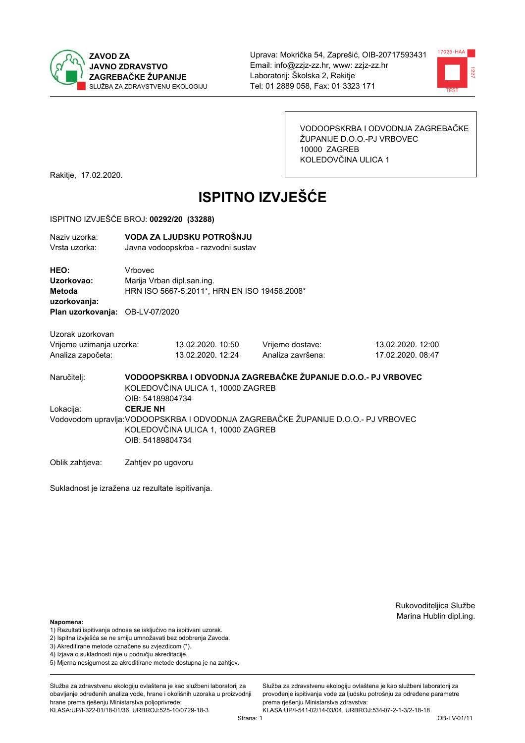



VODOOPSKRBA I ODVODNJA ZAGREBAČKE ŽUPANIJE D.O.O.-PJ VRBOVEC 10000 ZAGREB KOLEDOVČINA ULICA 1

Rakitje, 17.02.2020.

# **ISPITNO IZVJEŠĆE**

#### ISPITNO IZVJEŠĆE BROJ: 00292/20 (33288)

| Naziy uzorka:<br>Vrsta uzorka:  |                            | VODA ZA LJUDSKU POTROŠNJU<br>Javna vodoopskrba - razvodni sustav |                   |  |
|---------------------------------|----------------------------|------------------------------------------------------------------|-------------------|--|
| HEO:                            | Vrbovec                    |                                                                  |                   |  |
| Uzorkovao:                      | Marija Vrban dipl.san.ing. |                                                                  |                   |  |
| Metoda                          |                            | HRN ISO 5667-5:2011*, HRN EN ISO 19458:2008*                     |                   |  |
| uzorkovanja:                    |                            |                                                                  |                   |  |
| Plan uzorkovanja: OB-LV-07/2020 |                            |                                                                  |                   |  |
| Uzorak uzorkovan                |                            |                                                                  |                   |  |
| Vrijeme uzimanja uzorka:        |                            | 13.02.2020. 10:50                                                | Vrijeme dostave:  |  |
| Analiza započeta:               |                            | 13.02.2020. 12:24                                                | Analiza završena: |  |

13.02.2020. 12:00 17.02.2020. 08:47

Naručitelj:

VODOOPSKRBA I ODVODNJA ZAGREBAČKE ŽUPANIJE D.O.O.- PJ VRBOVEC KOLEDOVČINA ULICA 1, 10000 ZAGREB OIB: 54189804734 Lokacija: **CERJE NH** Vodovodom upravlja: VODOOPSKRBA I ODVODNJA ZAGREBAČKE ŽUPANIJE D.O.O.- PJ VRBOVEC KOLEDOVČINA ULICA 1, 10000 ZAGREB OIB: 54189804734

Oblik zahtjeva: Zahtjev po ugovoru

Sukladnost je izražena uz rezultate ispitivanja.

Rukovoditeljica Službe Marina Hublin dipl.ing.

#### Napomena:

- 1) Rezultati ispitivanja odnose se isključivo na ispitivani uzorak.
- 2) Ispitna izvješća se ne smiju umnožavati bez odobrenja Zavoda.

3) Akreditirane metode označene su zvjezdicom (\*).

- 4) Iziava o sukladnosti nije u području akreditacije.
- 5) Mjerna nesigurnost za akreditirane metode dostupna je na zahtjev.

Služba za zdravstvenu ekologiju ovlaštena je kao službeni laboratorij za obavlianie određenih analiza vode, hrane i okolišnih uzoraka u proizvodniji hrane prema rješenju Ministarstva poljoprivrede: KLASA: UP/I-322-01/18-01/36, URBROJ: 525-10/0729-18-3

Strana: 1

Služba za zdravstvenu ekologiju ovlaštena je kao službeni laboratorij za provođenie ispitivania vode za liudsku potrošniu za određene parametre prema riešenju Ministarstva zdravstva:

KLASA:UP/I-541-02/14-03/04, URBROJ:534-07-2-1-3/2-18-18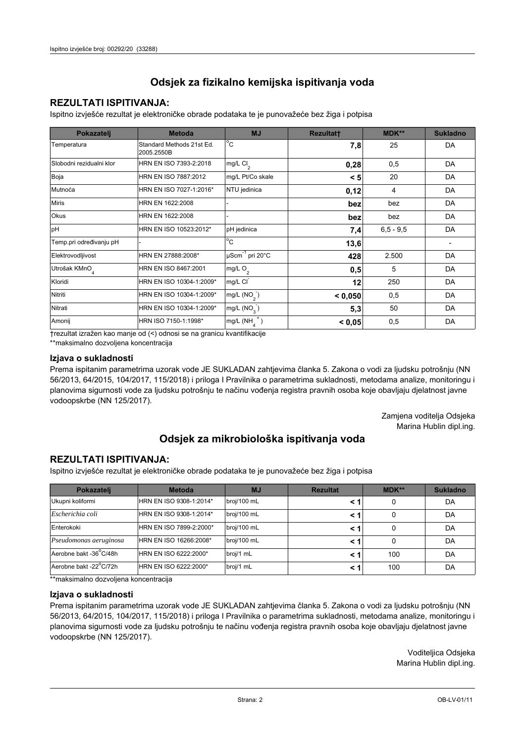## **REZULTATI ISPITIVANJA:**

Ispitno izviešće rezultat je elektroničke obrade podataka te je punovažeće bez žiga i potpisa

| Pokazatelj                | <b>Metoda</b>                           | <b>MJ</b>                   | <b>Rezultatt</b> | <b>MDK**</b>  | <b>Sukladno</b> |
|---------------------------|-----------------------------------------|-----------------------------|------------------|---------------|-----------------|
| Temperatura               | Standard Methods 21st Ed.<br>2005.2550B | $^{\circ}$ C                | 7,8              | 25            | DA              |
| Slobodni rezidualni klor  | HRN EN ISO 7393-2:2018                  | mg/L $Cl2$                  | 0,28             | 0,5           | DA              |
| Boja                      | HRN EN ISO 7887:2012                    | mg/L Pt/Co skale            | < 5              | 20            | DA              |
| Mutnoća                   | HRN EN ISO 7027-1:2016*                 | NTU jedinica                | 0,12             | 4             | DA              |
| <b>Miris</b>              | HRN EN 1622:2008                        |                             | bez              | bez           | DA              |
| <b>Okus</b>               | HRN EN 1622:2008                        |                             | bez              | bez           | DA              |
| pH                        | HRN EN ISO 10523:2012*                  | pH jedinica                 | 7,4              | $6, 5 - 9, 5$ | DA              |
| Temp.pri određivanju pH   |                                         | $^{\circ}$ C                | 13,6             |               |                 |
| Elektrovodljivost         | HRN EN 27888:2008*                      | µScm <sup>-1</sup> pri 20°C | 428              | 2.500         | DA              |
| Utrošak KMnO <sub>4</sub> | HRN EN ISO 8467:2001                    | mg/L $O_2$                  | 0,5              | 5             | DA              |
| Kloridi                   | HRN EN ISO 10304-1:2009*                | mg/L CI                     | 12               | 250           | DA              |
| Nitriti                   | HRN EN ISO 10304-1:2009*                | mg/L $(NO2)$                | < 0,050          | 0,5           | DA              |
| Nitrati                   | HRN EN ISO 10304-1:2009*                | mg/L (NO <sub>3</sub> )     | 5,3              | 50            | DA              |
| Amonij                    | HRN ISO 7150-1:1998*                    | mg/L (NH                    | < 0,05           | 0,5           | DA              |

trezultat izražen kao manje od (<) odnosi se na granicu kvantifikacije

\*\*maksimalno dozvoljena koncentracija

## Izjava o sukladnosti

Prema ispitanim parametrima uzorak vode JE SUKLADAN zahtievima članka 5. Zakona o vodi za ljudsku potrošnju (NN 56/2013, 64/2015, 104/2017, 115/2018) i priloga I Pravilnika o parametrima sukladnosti, metodama analize, monitoringu i planovima sigurnosti vode za ljudsku potrošnju te načinu vođenja registra pravnih osoba koje obavljaju djelatnost javne vodoopskrbe (NN 125/2017).

> Zamjena voditelja Odsjeka Marina Hublin dipl.ing.

## Odsjek za mikrobiološka ispitivanja voda

## **REZULTATI ISPITIVANJA:**

Ispitno izvješće rezultat je elektroničke obrade podataka te je punovažeće bez žiga i potpisa

| Pokazatelj             | <b>Metoda</b>           | <b>MJ</b>   | <b>Rezultat</b> | MDK** | <b>Sukladno</b> |
|------------------------|-------------------------|-------------|-----------------|-------|-----------------|
| Ukupni koliformi       | HRN EN ISO 9308-1:2014* | broj/100 mL |                 | 0     | DA              |
| Escherichia coli       | HRN EN ISO 9308-1:2014* | broj/100 mL |                 | 0     | DA              |
| Enterokoki             | HRN EN ISO 7899-2:2000* | broj/100 mL |                 | 0     | DA              |
| Pseudomonas aeruginosa | HRN EN ISO 16266:2008*  | broj/100 mL | < 1             | 0     | DA              |
| Aerobne bakt -36 C/48h | HRN EN ISO 6222:2000*   | broj/1 mL   |                 | 100   | DA              |
| Aerobne bakt -22°C/72h | HRN EN ISO 6222:2000*   | broj/1 mL   |                 | 100   | DA              |

\*\* maksimalno dozvoljena koncentracija

#### Izjava o sukladnosti

Prema ispitanim parametrima uzorak vode JE SUKLADAN zahtjevima članka 5. Zakona o vodi za ljudsku potrošnju (NN 56/2013, 64/2015, 104/2017, 115/2018) i priloga I Pravilnika o parametrima sukladnosti, metodama analize, monitoringu i planovima sigurnosti vode za ljudsku potrošnju te načinu vođenja registra pravnih osoba koje obavljaju djelatnost javne vodoopskrbe (NN 125/2017).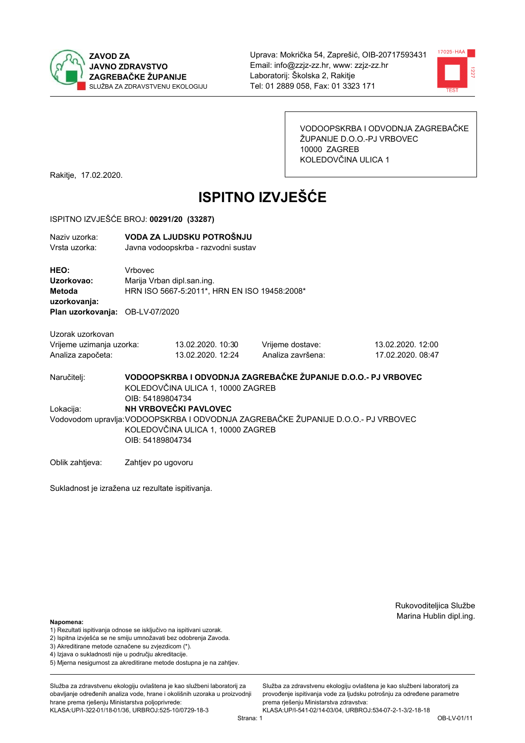



VODOOPSKRBA I ODVODNJA ZAGREBAČKE ŽUPANIJE D.O.O.-PJ VRBOVEC 10000 ZAGREB KOLEDOVČINA ULICA 1

Rakitje, 17.02.2020.

# **ISPITNO IZVJEŠĆE**

### ISPITNO IZVJEŠĆE BROJ: 00291/20 (33287)

| Naziv uzorka:<br>Vrsta uzorka:                |                    | VODA ZA LJUDSKU POTROŠNJU<br>Javna vodoopskrba - razvodni sustav           |                                                                                   |                                        |  |  |
|-----------------------------------------------|--------------------|----------------------------------------------------------------------------|-----------------------------------------------------------------------------------|----------------------------------------|--|--|
| HEO:<br>Uzorkovao:<br>Metoda<br>uzorkovanja:  | Vrbovec            | Marija Vrban dipl.san.ing.<br>HRN ISO 5667-5:2011*, HRN EN ISO 19458:2008* |                                                                                   |                                        |  |  |
| Plan uzorkovanja: OB-LV-07/2020               |                    |                                                                            |                                                                                   |                                        |  |  |
| Uzorak uzorkovan                              |                    |                                                                            |                                                                                   |                                        |  |  |
| Vrijeme uzimanja uzorka:<br>Analiza započeta: |                    | 13.02.2020. 10:30<br>13.02.2020. 12:24                                     | Vrijeme dostave:<br>Analiza završena:                                             | 13.02.2020. 12:00<br>17.02.2020. 08:47 |  |  |
| Naručitelj:                                   | OIB: 54189804734   | KOLEDOVČINA ULICA 1, 10000 ZAGREB                                          | VODOOPSKRBA I ODVODNJA ZAGREBAČKE ŽUPANIJE D.O.O.- PJ VRBOVEC                     |                                        |  |  |
| Lokacija:                                     |                    | NH VRBOVEČKI PAVLOVEC                                                      |                                                                                   |                                        |  |  |
|                                               | OIB: 54189804734   | KOLEDOVČINA ULICA 1, 10000 ZAGREB                                          | Vodovodom upravlja: VODOOPSKRBA I ODVODNJA ZAGREBAČKE ŽUPANIJE D.O.O.- PJ VRBOVEC |                                        |  |  |
| Oblik zahtjeva:                               | Zahtjev po ugovoru |                                                                            |                                                                                   |                                        |  |  |

Sukladnost je izražena uz rezultate ispitivanja.

Rukovoditeljica Službe Marina Hublin dipl.ing.

## Napomena:

- 1) Rezultati ispitivanja odnose se isključivo na ispitivani uzorak.
- 2) Ispitna izvješća se ne smiju umnožavati bez odobrenja Zavoda.
- 3) Akreditirane metode označene su zvjezdicom (\*).
- 4) Iziava o sukladnosti nije u području akreditacije.
- 5) Mjerna nesigurnost za akreditirane metode dostupna je na zahtjev.

Služba za zdravstvenu ekologiju ovlaštena je kao službeni laboratorij za obavlianie određenih analiza vode, hrane i okolišnih uzoraka u proizvodniji hrane prema rješenju Ministarstva poljoprivrede: KLASA: UP/I-322-01/18-01/36, URBROJ: 525-10/0729-18-3

Strana: 1

provođenie ispitivania vode za liudsku potrošniu za određene parametre prema rješenju Ministarstva zdravstva: KLASA:UP/I-541-02/14-03/04, URBROJ:534-07-2-1-3/2-18-18

Služba za zdravstvenu ekologiju ovlaštena je kao službeni laboratorij za

OB-LV-01/11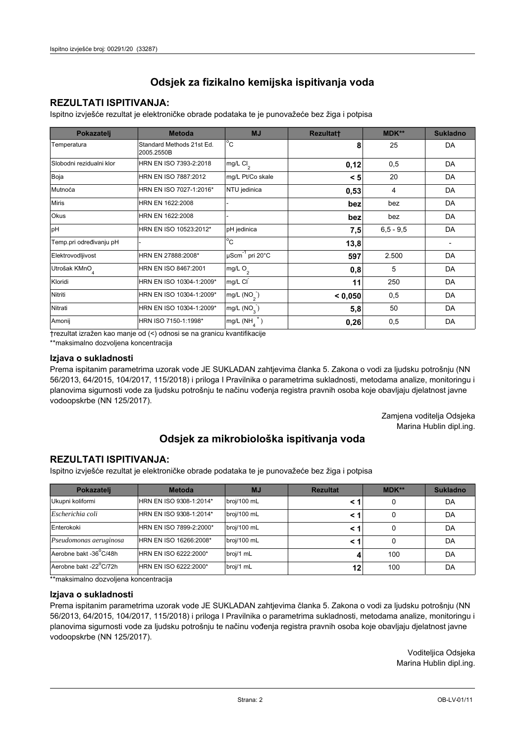## **REZULTATI ISPITIVANJA:**

Ispitno izviešće rezultat je elektroničke obrade podataka te je punovažeće bez žiga i potpisa

| Pokazatelj                | <b>Metoda</b>                           | <b>MJ</b>        | <b>Rezultatt</b> | <b>MDK**</b>  | <b>Sukladno</b> |
|---------------------------|-----------------------------------------|------------------|------------------|---------------|-----------------|
| Temperatura               | Standard Methods 21st Ed.<br>2005.2550B | $^{\circ}$ C     | 8                | 25            | DA              |
| Slobodni rezidualni klor  | HRN EN ISO 7393-2:2018                  | mg/L $Cl2$       | 0,12             | 0,5           | DA              |
| Boja                      | HRN EN ISO 7887:2012                    | mg/L Pt/Co skale | < 5              | 20            | DA              |
| Mutnoća                   | HRN EN ISO 7027-1:2016*                 | NTU jedinica     | 0,53             | 4             | DA              |
| <b>Miris</b>              | HRN EN 1622:2008                        |                  | bez              | bez           | DA              |
| <b>Okus</b>               | HRN EN 1622:2008                        |                  | bez              | bez           | DA              |
| pH                        | HRN EN ISO 10523:2012*                  | pH jedinica      | 7,5              | $6, 5 - 9, 5$ | DA              |
| Temp.pri određivanju pH   |                                         | $^{\circ}$ C     | 13,8             |               |                 |
| Elektrovodljivost         | HRN EN 27888:2008*                      | µScm-1 pri 20°C  | 597              | 2.500         | DA              |
| Utrošak KMnO <sub>4</sub> | HRN EN ISO 8467:2001                    | mg/L $O_2$       | 0,8              | 5             | DA              |
| Kloridi                   | HRN EN ISO 10304-1:2009*                | mg/L CI          | 11               | 250           | DA              |
| Nitriti                   | HRN EN ISO 10304-1:2009*                | mg/L $(NO2)$     | < 0,050          | 0,5           | DA              |
| Nitrati                   | HRN EN ISO 10304-1:2009*                | mg/L $(NO3)$     | 5,8              | 50            | DA              |
| Amonij                    | HRN ISO 7150-1:1998*                    | mg/L (NH         | 0,26             | 0,5           | DA              |

trezultat izražen kao manje od (<) odnosi se na granicu kvantifikacije

\*\*maksimalno dozvoljena koncentracija

## Izjava o sukladnosti

Prema ispitanim parametrima uzorak vode JE SUKLADAN zahtievima članka 5. Zakona o vodi za ljudsku potrošnju (NN 56/2013, 64/2015, 104/2017, 115/2018) i priloga I Pravilnika o parametrima sukladnosti, metodama analize, monitoringu i planovima sigurnosti vode za ljudsku potrošnju te načinu vođenja registra pravnih osoba koje obavljaju djelatnost javne vodoopskrbe (NN 125/2017).

> Zamjena voditelja Odsjeka Marina Hublin dipl.ing.

## Odsjek za mikrobiološka ispitivanja voda

## **REZULTATI ISPITIVANJA:**

Ispitno izvješće rezultat je elektroničke obrade podataka te je punovažeće bez žiga i potpisa

| Pokazatelj             | <b>Metoda</b>           | <b>MJ</b>   | <b>Rezultat</b> | MDK** | <b>Sukladno</b> |
|------------------------|-------------------------|-------------|-----------------|-------|-----------------|
| Ukupni koliformi       | HRN EN ISO 9308-1:2014* | broj/100 mL |                 |       | DA              |
| Escherichia coli       | HRN EN ISO 9308-1:2014* | broj/100 mL | < 1             |       | DA              |
| Enterokoki             | HRN EN ISO 7899-2:2000* | broj/100 mL | < '             |       | DA              |
| Pseudomonas aeruginosa | HRN EN ISO 16266:2008*  | broj/100 mL | < 1             | 0     | DA              |
| Aerobne bakt -36 C/48h | HRN EN ISO 6222:2000*   | broj/1 mL   |                 | 100   | DA              |
| Aerobne bakt -22°C/72h | HRN EN ISO 6222:2000*   | broj/1 mL   | 12              | 100   | DA              |

\*\* maksimalno dozvoljena koncentracija

## Izjava o sukladnosti

Prema ispitanim parametrima uzorak vode JE SUKLADAN zahtjevima članka 5. Zakona o vodi za ljudsku potrošnju (NN 56/2013, 64/2015, 104/2017, 115/2018) i priloga I Pravilnika o parametrima sukladnosti, metodama analize, monitoringu i planovima sigurnosti vode za ljudsku potrošnju te načinu vođenja registra pravnih osoba koje obavljaju djelatnost javne vodoopskrbe (NN 125/2017).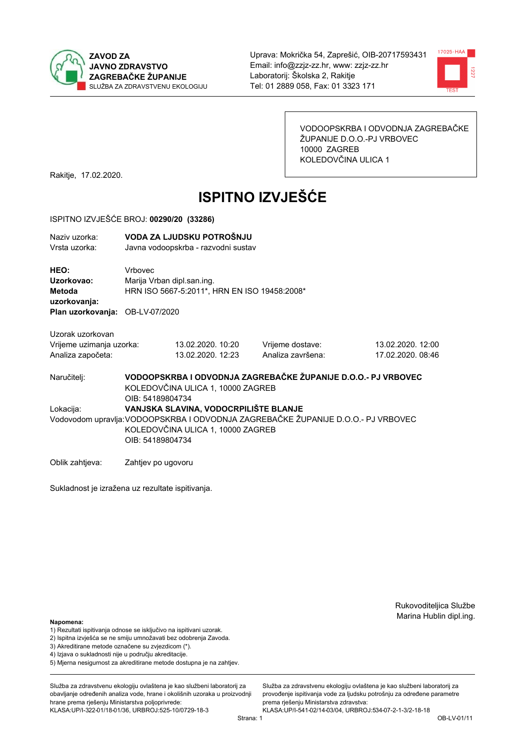



VODOOPSKRBA I ODVODNJA ZAGREBAČKE ŽUPANIJE D.O.O.-PJ VRBOVEC 10000 ZAGREB KOLEDOVČINA ULICA 1

Rakitje, 17.02.2020.

# **ISPITNO IZVJEŠĆE**

### ISPITNO IZVJEŠĆE BROJ: 00290/20 (33286)

| Naziv uzorka:<br>Vrsta uzorka:                                                         |                    | VODA ZA LJUDSKU POTROŠNJU<br>Javna vodoopskrba - razvodni sustav           |                                                                                  |                   |  |  |
|----------------------------------------------------------------------------------------|--------------------|----------------------------------------------------------------------------|----------------------------------------------------------------------------------|-------------------|--|--|
| <b>HEO:</b><br>Uzorkovao:<br>Metoda<br>uzorkovanja:<br>Plan uzorkovanja: OB-LV-07/2020 | Vrbovec            | Marija Vrban dipl.san.ing.<br>HRN ISO 5667-5:2011*, HRN EN ISO 19458:2008* |                                                                                  |                   |  |  |
|                                                                                        |                    |                                                                            |                                                                                  |                   |  |  |
| Uzorak uzorkovan                                                                       |                    |                                                                            |                                                                                  |                   |  |  |
| Vrijeme uzimanja uzorka:                                                               |                    | 13.02.2020. 10:20                                                          | Vrijeme dostave:                                                                 | 13.02.2020. 12:00 |  |  |
| Analiza započeta:                                                                      |                    | 13.02.2020. 12:23                                                          | Analiza završena:                                                                | 17.02.2020, 08:46 |  |  |
| Naručitelj:                                                                            | OIB: 54189804734   | KOLEDOVČINA ULICA 1, 10000 ZAGREB                                          | VODOOPSKRBA I ODVODNJA ZAGREBAČKE ŽUPANIJE D.O.O.- PJ VRBOVEC                    |                   |  |  |
| Lokacija:                                                                              |                    | VANJSKA SLAVINA, VODOCRPILIŠTE BLANJE                                      |                                                                                  |                   |  |  |
|                                                                                        | OIB: 54189804734   | KOLEDOVČINA ULICA 1, 10000 ZAGREB                                          | Vodovodom upravlja:VODOOPSKRBA I ODVODNJA ZAGREBAČKE ŽUPANIJE D.O.O.- PJ VRBOVEC |                   |  |  |
| Oblik zahtjeva:                                                                        | Zahtjev po ugovoru |                                                                            |                                                                                  |                   |  |  |

Sukladnost je izražena uz rezultate ispitivanja.

Rukovoditeljica Službe Marina Hublin dipl.ing.

#### Napomena:

- 1) Rezultati ispitivanja odnose se isključivo na ispitivani uzorak.
- 2) Ispitna izvješća se ne smiju umnožavati bez odobrenja Zavoda.

3) Akreditirane metode označene su zvjezdicom (\*).

- 4) Iziava o sukladnosti nije u području akreditacije.
- 5) Mjerna nesigurnost za akreditirane metode dostupna je na zahtjev.

Služba za zdravstvenu ekologiju ovlaštena je kao službeni laboratorij za obavlianie određenih analiza vode, hrane i okolišnih uzoraka u proizvodniji hrane prema rješenju Ministarstva poljoprivrede: KLASA: UP/I-322-01/18-01/36, URBROJ: 525-10/0729-18-3

Služba za zdravstvenu ekologiju ovlaštena je kao službeni laboratorij za provođenie ispitivania vode za liudsku potrošniu za određene parametre prema rješenju Ministarstva zdravstva:

KLASA:UP/I-541-02/14-03/04, URBROJ:534-07-2-1-3/2-18-18 Strana: 1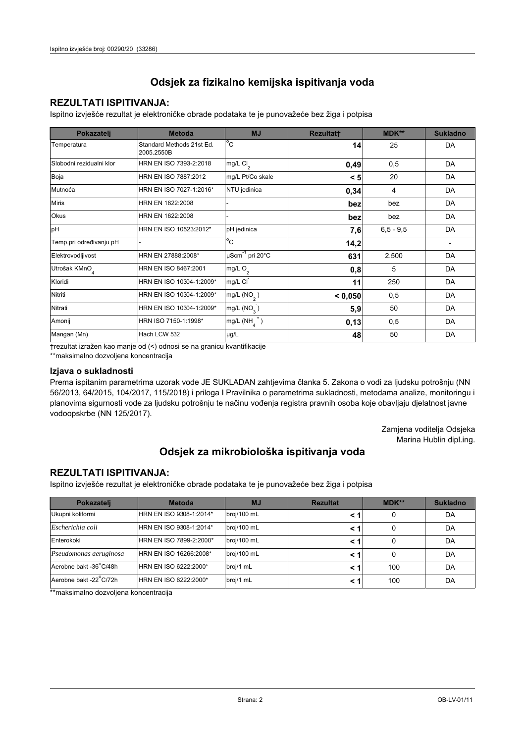## **REZULTATI ISPITIVANJA:**

Ispitno izvješće rezultat je elektroničke obrade podataka te je punovažeće bez žiga i potpisa

| Pokazatelj                | <b>Metoda</b>                           | <b>MJ</b>               | Rezultatt | <b>MDK**</b>  | <b>Sukladno</b>          |
|---------------------------|-----------------------------------------|-------------------------|-----------|---------------|--------------------------|
| Temperatura               | Standard Methods 21st Ed.<br>2005.2550B | $^{\circ}$ C            | 14        | 25            | DA                       |
| Slobodni rezidualni klor  | HRN EN ISO 7393-2:2018                  | mg/L Cl <sub>2</sub>    | 0,49      | 0,5           | DA                       |
| Boja                      | HRN EN ISO 7887:2012                    | mg/L Pt/Co skale        | < 5       | 20            | DA                       |
| Mutnoća                   | HRN EN ISO 7027-1:2016*                 | NTU jedinica            | 0,34      | 4             | DA                       |
| <b>Miris</b>              | HRN EN 1622:2008                        |                         | bez       | bez           | DA                       |
| Okus                      | HRN EN 1622:2008                        |                         | bez       | bez           | DA                       |
| pH                        | HRN EN ISO 10523:2012*                  | pH jedinica             | 7,6       | $6, 5 - 9, 5$ | DA                       |
| Temp.pri određivanju pH   |                                         | $\overline{C}$          | 14,2      |               | $\overline{\phantom{a}}$ |
| Elektrovodljivost         | HRN EN 27888:2008*                      | µScm-1 pri 20°C         | 631       | 2.500         | DA                       |
| Utrošak KMnO <sub>4</sub> | HRN EN ISO 8467:2001                    | mg/L O <sub>2</sub>     | 0,8       | 5             | DA                       |
| Kloridi                   | HRN EN ISO 10304-1:2009*                | mg/L CI                 | 11        | 250           | DA                       |
| Nitriti                   | HRN EN ISO 10304-1:2009*                | mg/L (NO <sub>2</sub> ) | < 0,050   | 0,5           | DA                       |
| Nitrati                   | HRN EN ISO 10304-1:2009*                | mg/L $(NO3)$            | 5,9       | 50            | DA                       |
| Amonij                    | HRN ISO 7150-1:1998*                    | $mg/L(NH_4^+)$          | 0,13      | 0,5           | DA                       |
| Mangan (Mn)               | Hach LCW 532                            | µg/L                    | 48        | 50            | DA                       |

†rezultat izražen kao manje od (<) odnosi se na granicu kvantifikacije

\*\*maksimalno dozvoljena koncentracija

#### Izjava o sukladnosti

Prema ispitanim parametrima uzorak vode JE SUKLADAN zahtjevima članka 5. Zakona o vodi za ljudsku potrošnju (NN 56/2013, 64/2015, 104/2017, 115/2018) i priloga I Pravilnika o parametrima sukladnosti, metodama analize, monitoringu i planovima sigurnosti vode za ljudsku potrošnju te načinu vođenja registra pravnih osoba koje obavljaju djelatnost javne vodoopskrbe (NN 125/2017).

> Zamjena voditelja Odsjeka Marina Hublin dipl.ing.

## Odsjek za mikrobiološka ispitivanja voda

## **REZULTATI ISPITIVANJA:**

Ispitno izvješće rezultat je elektroničke obrade podataka te je punovažeće bez žiga i potpisa

| Pokazatelj             | <b>Metoda</b>           | <b>MJ</b>   | <b>Rezultat</b> | MDK** | <b>Sukladno</b> |
|------------------------|-------------------------|-------------|-----------------|-------|-----------------|
| Ukupni koliformi       | HRN EN ISO 9308-1:2014* | broj/100 mL |                 | 0     | DA              |
| Escherichia coli       | HRN EN ISO 9308-1:2014* | broj/100 mL |                 | 0     | DA              |
| Enterokoki             | HRN EN ISO 7899-2:2000* | broj/100 mL | < 1             | 0     | DA              |
| Pseudomonas aeruginosa | HRN EN ISO 16266:2008*  | broj/100 mL | < 1             | 0     | DA              |
| Aerobne bakt -36°C/48h | HRN EN ISO 6222:2000*   | broj/1 mL   | < '             | 100   | DA              |
| Aerobne bakt -22°C/72h | HRN EN ISO 6222:2000*   | broj/1 mL   | < 1             | 100   | DA              |

\*\*maksimalno dozvoljena koncentracija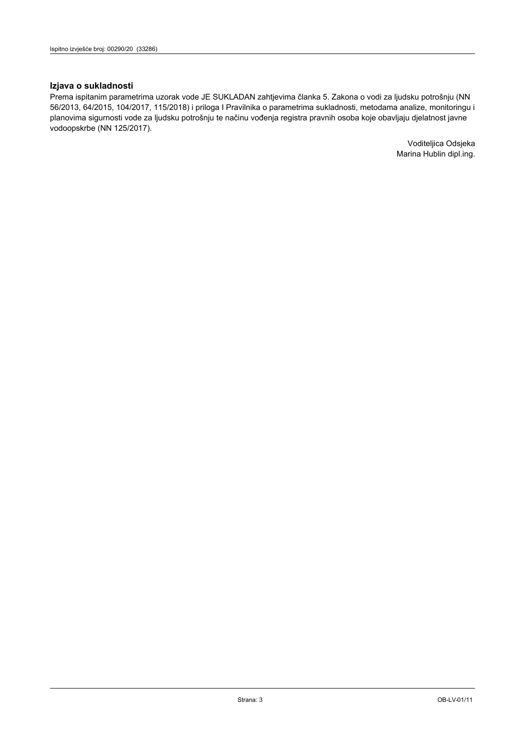## Izjava o sukladnosti

Prema ispitanim parametrima uzorak vode JE SUKLADAN zahtjevima članka 5. Zakona o vodi za ljudsku potrošnju (NN 56/2013, 64/2015, 104/2017, 115/2018) i priloga I Pravilnika o parametrima sukladnosti, metodama analize, monitoringu i planovima sigurnosti vode za ljudsku potrošnju te načinu vođenja registra pravnih osoba koje obavljaju djelatnost javne vodoopskrbe (NN 125/2017).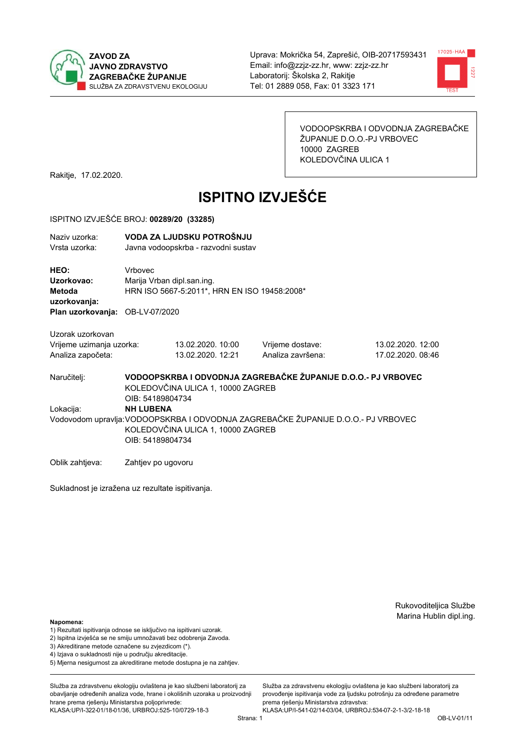



VODOOPSKRBA I ODVODNJA ZAGREBAČKE ŽUPANIJE D.O.O.-PJ VRBOVEC 10000 ZAGREB KOLEDOVČINA ULICA 1

Rakitje, 17.02.2020.

# **ISPITNO IZVJEŠĆE**

#### ISPITNO IZVJEŠĆE BROJ: 00289/20 (33285)

| Naziv uzorka:<br>Vrsta uzorka:                                    |                  | VODA ZA LJUDSKU POTROŠNJU<br>Javna vodoopskrba - razvodni sustav           |                                                                                   |                                        |  |  |
|-------------------------------------------------------------------|------------------|----------------------------------------------------------------------------|-----------------------------------------------------------------------------------|----------------------------------------|--|--|
| HEO:<br>Uzorkovao:<br>Metoda<br>uzorkovanja:                      | Vrbovec          | Marija Vrban dipl.san.ing.<br>HRN ISO 5667-5:2011*, HRN EN ISO 19458:2008* |                                                                                   |                                        |  |  |
| Plan uzorkovanja: OB-LV-07/2020                                   |                  |                                                                            |                                                                                   |                                        |  |  |
| Uzorak uzorkovan<br>Vrijeme uzimanja uzorka:<br>Analiza započeta: |                  | 13.02.2020. 10:00<br>13.02.2020. 12:21                                     | Vrijeme dostave:<br>Analiza završena:                                             | 13.02.2020. 12:00<br>17.02.2020. 08:46 |  |  |
| Naručiteli:                                                       | OIB: 54189804734 | KOLEDOVČINA ULICA 1, 10000 ZAGREB                                          | VODOOPSKRBA I ODVODNJA ZAGREBAČKE ŽUPANIJE D.O.O.- PJ VRBOVEC                     |                                        |  |  |
| Lokacija:                                                         | <b>NH LUBENA</b> | KOLEDOVČINA ULICA 1, 10000 ZAGREB                                          | Vodovodom upravlja: VODOOPSKRBA I ODVODNJA ZAGREBAČKE ŽUPANIJE D.O.O.- PJ VRBOVEC |                                        |  |  |

OIB: 54189804734

Oblik zahtjeva: Zahtjev po ugovoru

Sukladnost je izražena uz rezultate ispitivanja.

Rukovoditeljica Službe Marina Hublin dipl.ing.

#### Napomena:

- 1) Rezultati ispitivanja odnose se isključivo na ispitivani uzorak.
- 2) Ispitna izvješća se ne smiju umnožavati bez odobrenja Zavoda.

3) Akreditirane metode označene su zvjezdicom (\*).

- 4) Iziava o sukladnosti nije u području akreditacije.
- 5) Mjerna nesigurnost za akreditirane metode dostupna je na zahtjev.

Služba za zdravstvenu ekologiju ovlaštena je kao službeni laboratorij za obavlianie određenih analiza vode, hrane i okolišnih uzoraka u proizvodniji hrane prema rješenju Ministarstva poljoprivrede: KLASA: UP/I-322-01/18-01/36, URBROJ: 525-10/0729-18-3

KLASA:UP/I-541-02/14-03/04, URBROJ:534-07-2-1-3/2-18-18 Strana: 1

prema rješenju Ministarstva zdravstva:

Služba za zdravstvenu ekologiju ovlaštena je kao službeni laboratorij za

provođenie ispitivania vode za liudsku potrošniu za određene parametre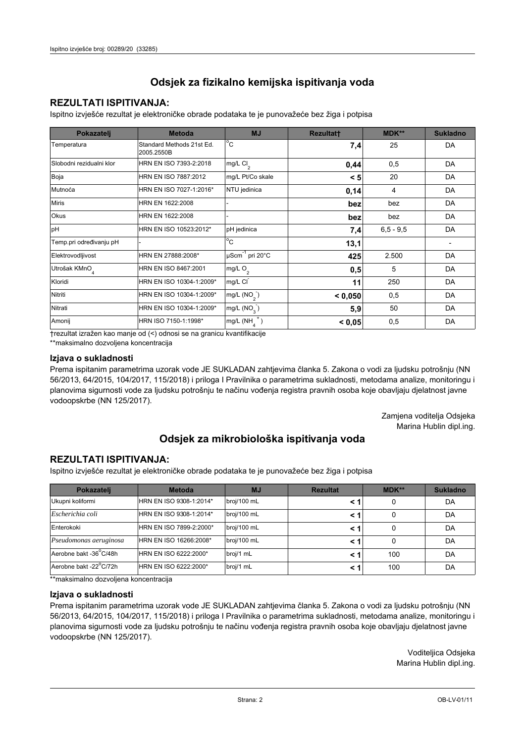## **REZULTATI ISPITIVANJA:**

Ispitno izviešće rezultat je elektroničke obrade podataka te je punovažeće bez žiga i potpisa

| Pokazatelj                | <b>Metoda</b>                           | <b>MJ</b>               | <b>Rezultatt</b> | <b>MDK**</b>  | <b>Sukladno</b> |
|---------------------------|-----------------------------------------|-------------------------|------------------|---------------|-----------------|
| Temperatura               | Standard Methods 21st Ed.<br>2005.2550B | $^{\circ}$ C            | 7,4              | 25            | DA              |
| Slobodni rezidualni klor  | HRN EN ISO 7393-2:2018                  | mg/L $Cl2$              | 0,44             | 0,5           | DA              |
| Boja                      | HRN EN ISO 7887:2012                    | mg/L Pt/Co skale        | < 5              | 20            | DA              |
| Mutnoća                   | HRN EN ISO 7027-1:2016*                 | NTU jedinica            | 0,14             | 4             | DA              |
| <b>Miris</b>              | HRN EN 1622:2008                        |                         | bez              | bez           | DA              |
| Okus                      | HRN EN 1622:2008                        |                         | bez              | bez           | DA              |
| pH                        | HRN EN ISO 10523:2012*                  | pH jedinica             | 7,4              | $6, 5 - 9, 5$ | DA              |
| Temp.pri određivanju pH   |                                         | $^{\circ}$ C            | 13,1             |               |                 |
| Elektrovodljivost         | HRN EN 27888:2008*                      | µScm-1 pri 20°C         | 425              | 2.500         | DA              |
| Utrošak KMnO <sub>4</sub> | HRN EN ISO 8467:2001                    | mg/L $O2$               | 0,5              | 5             | DA              |
| Kloridi                   | HRN EN ISO 10304-1:2009*                | mg/L CI                 | 11               | 250           | DA              |
| Nitriti                   | HRN EN ISO 10304-1:2009*                | mg/L (NO <sub>2</sub> ) | < 0.050          | 0,5           | DA              |
| Nitrati                   | HRN EN ISO 10304-1:2009*                | mg/L (NO <sub>3</sub> ) | 5,9              | 50            | DA              |
| Amonij                    | HRN ISO 7150-1:1998*                    | mg/L (NH                | < 0,05           | 0,5           | DA              |

trezultat izražen kao manje od (<) odnosi se na granicu kvantifikacije

\*\*maksimalno dozvoljena koncentracija

## Izjava o sukladnosti

Prema ispitanim parametrima uzorak vode JE SUKLADAN zahtievima članka 5. Zakona o vodi za ljudsku potrošnju (NN 56/2013, 64/2015, 104/2017, 115/2018) i priloga I Pravilnika o parametrima sukladnosti, metodama analize, monitoringu i planovima sigurnosti vode za ljudsku potrošnju te načinu vođenja registra pravnih osoba koje obavljaju djelatnost javne vodoopskrbe (NN 125/2017).

> Zamjena voditelja Odsjeka Marina Hublin dipl.ing.

## Odsjek za mikrobiološka ispitivanja voda

## **REZULTATI ISPITIVANJA:**

Ispitno izvješće rezultat je elektroničke obrade podataka te je punovažeće bez žiga i potpisa

| Pokazatelj             | <b>Metoda</b>           | <b>MJ</b>   | <b>Rezultat</b> | MDK** | <b>Sukladno</b> |
|------------------------|-------------------------|-------------|-----------------|-------|-----------------|
| Ukupni koliformi       | HRN EN ISO 9308-1:2014* | broj/100 mL |                 |       | DA              |
| Escherichia coli       | HRN EN ISO 9308-1:2014* | broj/100 mL | < 1             |       | DA              |
| Enterokoki             | HRN EN ISO 7899-2:2000* | broj/100 mL | < '             |       | DA              |
| Pseudomonas aeruginosa | HRN EN ISO 16266:2008*  | broj/100 mL | < 1             | 0     | DA              |
| Aerobne bakt -36 C/48h | HRN EN ISO 6222:2000*   | broj/1 mL   |                 | 100   | DA              |
| Aerobne bakt -22°C/72h | HRN EN ISO 6222:2000*   | broj/1 mL   | < 1             | 100   | DA              |

\*\* maksimalno dozvoljena koncentracija

## Izjava o sukladnosti

Prema ispitanim parametrima uzorak vode JE SUKLADAN zahtjevima članka 5. Zakona o vodi za ljudsku potrošnju (NN 56/2013, 64/2015, 104/2017, 115/2018) i priloga I Pravilnika o parametrima sukladnosti, metodama analize, monitoringu i planovima sigurnosti vode za ljudsku potrošnju te načinu vođenja registra pravnih osoba koje obavljaju djelatnost javne vodoopskrbe (NN 125/2017).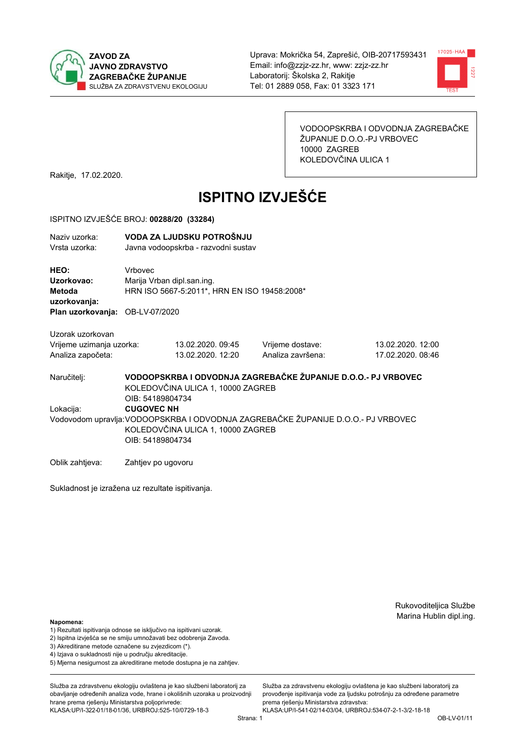



VODOOPSKRBA I ODVODNJA ZAGREBAČKE ŽUPANIJE D.O.O.-PJ VRBOVEC 10000 ZAGREB KOLEDOVČINA ULICA 1

Rakitje, 17.02.2020.

# **ISPITNO IZVJEŠĆE**

#### ISPITNO IZVJEŠĆE BROJ: 00288/20 (33284)

| Naziv uzorka: | VODA ZA LJUDSKU POTROŠNJU           |
|---------------|-------------------------------------|
| Vrsta uzorka: | Javna vodoopskrba - razvodni sustav |

HEO: Vrbovec Uzorkovao: Mariia Vrban dipl.san.ing. Metoda HRN ISO 5667-5:2011\*, HRN EN ISO 19458:2008\* uzorkovanja: Plan uzorkovanja: OB-LV-07/2020

Uzorak uzorkovan Vrijeme uzimanja uzorka: Analiza započeta:

13.02.2020.09:45 13.02.2020. 12:20 Vrijeme dostave: Analiza završena:

13.02.2020. 12:00 17.02.2020, 08:46

VODOOPSKRBA I ODVODNJA ZAGREBAČKE ŽUPANIJE D.O.O.- PJ VRBOVEC Naručitelj: KOLEDOVČINA ULICA 1, 10000 ZAGREB OIB: 54189804734 Lokacija: **CUGOVEC NH** Vodovodom upravlja: VODOOPSKRBA I ODVODNJA ZAGREBAČKE ŽUPANIJE D.O.O.- PJ VRBOVEC KOLEDOVČINA ULICA 1, 10000 ZAGREB OIB: 54189804734

Oblik zahtjeva: Zahtjev po ugovoru

Sukladnost je izražena uz rezultate ispitivanja.

Rukovoditeljica Službe Marina Hublin dipl.ing.

#### Napomena:

- 1) Rezultati ispitivanja odnose se isključivo na ispitivani uzorak.
- 2) Ispitna izvješća se ne smiju umnožavati bez odobrenja Zavoda.

3) Akreditirane metode označene su zvjezdicom (\*).

- 4) Iziava o sukladnosti nije u područiu akreditacije.
- 5) Mjerna nesigurnost za akreditirane metode dostupna je na zahtjev.

Služba za zdravstvenu ekologiju ovlaštena je kao službeni laboratorij za obavlianie određenih analiza vode, hrane i okolišnih uzoraka u proizvodniji hrane prema rješenju Ministarstva poljoprivrede: KLASA: UP/I-322-01/18-01/36, URBROJ: 525-10/0729-18-3

Strana: 1

Služba za zdravstvenu ekologiju ovlaštena je kao službeni laboratorij za provođenie ispitivania vode za liudsku potrošniu za određene parametre prema riešenju Ministarstva zdravstva:

KLASA:UP/I-541-02/14-03/04, URBROJ:534-07-2-1-3/2-18-18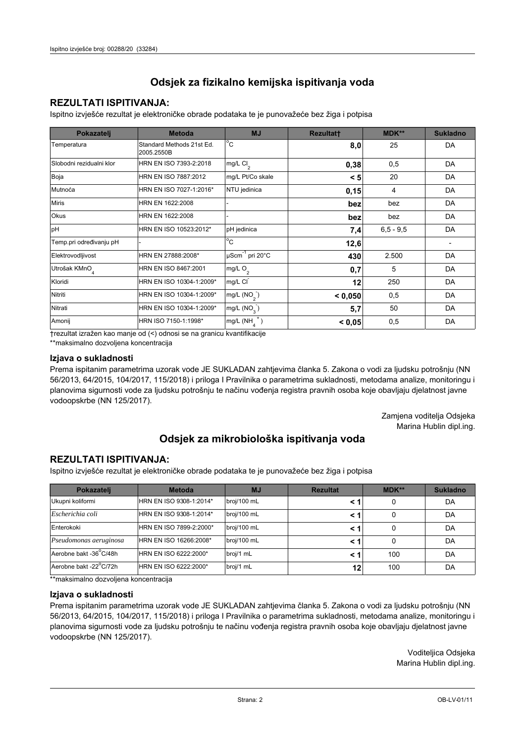## **REZULTATI ISPITIVANJA:**

Ispitno izviešće rezultat je elektroničke obrade podataka te je punovažeće bez žiga i potpisa

| Pokazatelj                | <b>Metoda</b>                           | <b>MJ</b>                   | <b>Rezultatt</b> | <b>MDK**</b>  | <b>Sukladno</b> |
|---------------------------|-----------------------------------------|-----------------------------|------------------|---------------|-----------------|
| Temperatura               | Standard Methods 21st Ed.<br>2005.2550B | $^{\circ}$ C                | 8,0              | 25            | DA              |
| Slobodni rezidualni klor  | HRN EN ISO 7393-2:2018                  | mg/L $Cl2$                  | 0,38             | 0,5           | DA              |
| Boja                      | HRN EN ISO 7887:2012                    | mg/L Pt/Co skale            | < 5              | 20            | DA              |
| Mutnoća                   | HRN EN ISO 7027-1:2016*                 | NTU jedinica                | 0,15             | 4             | DA              |
| <b>Miris</b>              | HRN EN 1622:2008                        |                             | bez              | bez           | DA              |
| <b>Okus</b>               | HRN EN 1622:2008                        |                             | bez              | bez           | DA              |
| pH                        | HRN EN ISO 10523:2012*                  | pH jedinica                 | 7,4              | $6, 5 - 9, 5$ | DA              |
| Temp.pri određivanju pH   |                                         | $^{\circ}$ C                | 12,6             |               |                 |
| Elektrovodljivost         | HRN EN 27888:2008*                      | µScm <sup>-1</sup> pri 20°C | 430              | 2.500         | DA              |
| Utrošak KMnO <sub>4</sub> | HRN EN ISO 8467:2001                    | mg/L $O_2$                  | 0,7              | 5             | DA              |
| Kloridi                   | HRN EN ISO 10304-1:2009*                | mg/L CI                     | 12               | 250           | DA              |
| Nitriti                   | HRN EN ISO 10304-1:2009*                | mg/L $(NO2)$                | < 0,050          | 0,5           | DA              |
| Nitrati                   | HRN EN ISO 10304-1:2009*                | mg/L (NO <sub>3</sub> )     | 5,7              | 50            | DA              |
| Amonij                    | HRN ISO 7150-1:1998*                    | mg/L (NH                    | < 0,05           | 0,5           | DA              |

trezultat izražen kao manje od (<) odnosi se na granicu kvantifikacije

\*\*maksimalno dozvoljena koncentracija

## Izjava o sukladnosti

Prema ispitanim parametrima uzorak vode JE SUKLADAN zahtievima članka 5. Zakona o vodi za ljudsku potrošnju (NN 56/2013, 64/2015, 104/2017, 115/2018) i priloga I Pravilnika o parametrima sukladnosti, metodama analize, monitoringu i planovima sigurnosti vode za ljudsku potrošnju te načinu vođenja registra pravnih osoba koje obavljaju djelatnost javne vodoopskrbe (NN 125/2017).

> Zamjena voditelja Odsjeka Marina Hublin dipl.ing.

## Odsjek za mikrobiološka ispitivanja voda

## **REZULTATI ISPITIVANJA:**

Ispitno izvješće rezultat je elektroničke obrade podataka te je punovažeće bez žiga i potpisa

| Pokazatelj             | <b>Metoda</b>           | <b>MJ</b>   | <b>Rezultat</b> | MDK** | <b>Sukladno</b> |
|------------------------|-------------------------|-------------|-----------------|-------|-----------------|
| Ukupni koliformi       | HRN EN ISO 9308-1:2014* | broj/100 mL |                 | 0     | DA              |
| Escherichia coli       | HRN EN ISO 9308-1:2014* | broj/100 mL | < '             | 0     | DA              |
| Enterokoki             | HRN EN ISO 7899-2:2000* | broj/100 mL | < '             | 0     | DA              |
| Pseudomonas aeruginosa | HRN EN ISO 16266:2008*  | broj/100 mL | < '             | 0     | DA              |
| Aerobne bakt -36°C/48h | HRN EN ISO 6222:2000*   | broj/1 mL   |                 | 100   | DA              |
| Aerobne bakt -22°C/72h | HRN EN ISO 6222:2000*   | broj/1 mL   | 12              | 100   | DA              |

\*\* maksimalno dozvoljena koncentracija

## Izjava o sukladnosti

Prema ispitanim parametrima uzorak vode JE SUKLADAN zahtjevima članka 5. Zakona o vodi za ljudsku potrošnju (NN 56/2013, 64/2015, 104/2017, 115/2018) i priloga I Pravilnika o parametrima sukladnosti, metodama analize, monitoringu i planovima sigurnosti vode za ljudsku potrošnju te načinu vođenja registra pravnih osoba koje obavljaju djelatnost javne vodoopskrbe (NN 125/2017).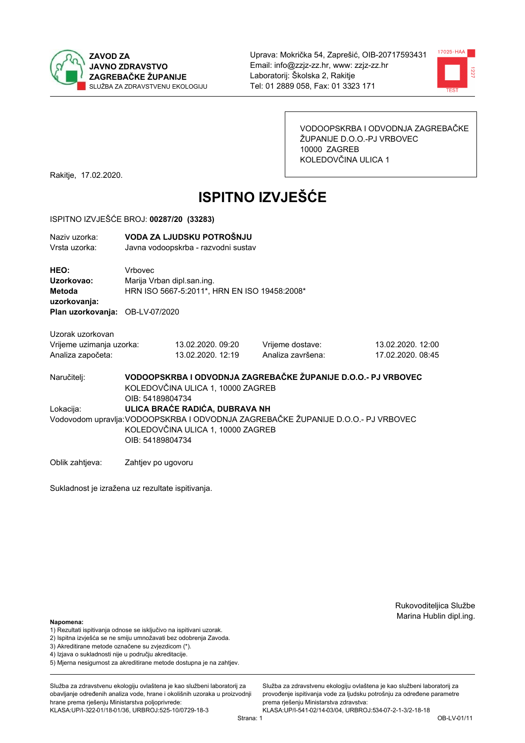



VODOOPSKRBA I ODVODNJA ZAGREBAČKE ŽUPANIJE D.O.O.-PJ VRBOVEC 10000 ZAGREB KOLEDOVČINA ULICA 1

Rakitje, 17.02.2020.

# **ISPITNO IZVJEŠĆE**

#### ISPITNO IZVJEŠĆE BROJ: 00287/20 (33283)

| <u>IUI IIIVU ILVULUUL DIVUJ. UUZUIIZU VUJZUJI</u>                               |                                                                                       |                                                                  |                                                               |                                        |  |
|---------------------------------------------------------------------------------|---------------------------------------------------------------------------------------|------------------------------------------------------------------|---------------------------------------------------------------|----------------------------------------|--|
| Naziv uzorka:<br>Vrsta uzorka:                                                  |                                                                                       | VODA ZA LJUDSKU POTROŠNJU<br>Javna vodoopskrba - razvodni sustav |                                                               |                                        |  |
| HEO:<br>Uzorkovao:<br>Metoda<br>uzorkovanja:<br>Plan uzorkovanja: OB-LV-07/2020 | Vrbovec<br>Marija Vrban dipl.san.ing.<br>HRN ISO 5667-5:2011*, HRN EN ISO 19458:2008* |                                                                  |                                                               |                                        |  |
| Uzorak uzorkovan<br>Vrijeme uzimanja uzorka:<br>Analiza započeta:               |                                                                                       | 13.02.2020. 09:20<br>13.02.2020. 12:19                           | Vrijeme dostave:<br>Analiza završena:                         | 13.02.2020. 12:00<br>17.02.2020. 08:45 |  |
| Naručiteli:                                                                     | OIB: 54189804734                                                                      | KOLEDOVČINA ULICA 1, 10000 ZAGREB                                | VODOOPSKRBA I ODVODNJA ZAGREBAČKE ŽUPANIJE D.O.O.- PJ VRBOVEC |                                        |  |

ULICA BRAĆE RADIĆA, DUBRAVA NH Lokacija: Vodovodom upravlja: VODOOPSKRBA I ODVODNJA ZAGREBAČKE ŽUPANIJE D.O.O.- PJ VRBOVEC KOLEDOVČINA ULICA 1, 10000 ZAGREB OIB: 54189804734

Oblik zahtjeva: Zahtjev po ugovoru

Sukladnost je izražena uz rezultate ispitivanja.

Rukovoditeljica Službe Marina Hublin dipl.ing.

#### Napomena:

- 1) Rezultati ispitivanja odnose se isključivo na ispitivani uzorak.
- 2) Ispitna izvješća se ne smiju umnožavati bez odobrenja Zavoda.

3) Akreditirane metode označene su zvjezdicom (\*).

- 4) Iziava o sukladnosti nije u području akreditacije.
- 5) Mjerna nesigurnost za akreditirane metode dostupna je na zahtjev.

Služba za zdravstvenu ekologiju ovlaštena je kao službeni laboratorij za obavlianie određenih analiza vode, hrane i okolišnih uzoraka u proizvodniji hrane prema rješenju Ministarstva poljoprivrede: KLASA: UP/I-322-01/18-01/36, URBROJ: 525-10/0729-18-3

Služba za zdravstvenu ekologiju ovlaštena je kao službeni laboratorij za provođenie ispitivania vode za liudsku potrošniu za određene parametre prema rješenju Ministarstva zdravstva:

KLASA:UP/I-541-02/14-03/04, URBROJ:534-07-2-1-3/2-18-18 Strana: 1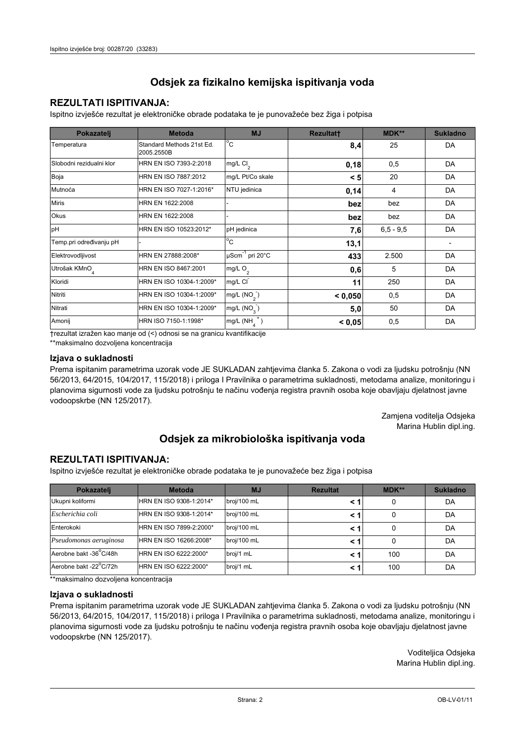## **REZULTATI ISPITIVANJA:**

Ispitno izviešće rezultat je elektroničke obrade podataka te je punovažeće bez žiga i potpisa

| Pokazatelj                | <b>Metoda</b>                           | <b>MJ</b>                   | <b>Rezultatt</b> | <b>MDK**</b>  | <b>Sukladno</b> |
|---------------------------|-----------------------------------------|-----------------------------|------------------|---------------|-----------------|
| Temperatura               | Standard Methods 21st Ed.<br>2005.2550B | $^{\circ}$ C                | 8,4              | 25            | DA              |
| Slobodni rezidualni klor  | HRN EN ISO 7393-2:2018                  | mg/L $Cl2$                  | 0,18             | 0,5           | DA              |
| Boja                      | HRN EN ISO 7887:2012                    | mg/L Pt/Co skale            | < 5              | 20            | DA              |
| Mutnoća                   | HRN EN ISO 7027-1:2016*                 | NTU jedinica                | 0,14             | 4             | DA              |
| <b>Miris</b>              | HRN EN 1622:2008                        |                             | bez              | bez           | DA              |
| <b>Okus</b>               | HRN EN 1622:2008                        |                             | bez              | bez           | DA              |
| pH                        | HRN EN ISO 10523:2012*                  | pH jedinica                 | 7,6              | $6, 5 - 9, 5$ | DA              |
| Temp.pri određivanju pH   |                                         | $^{\circ}$ C                | 13,1             |               |                 |
| Elektrovodljivost         | HRN EN 27888:2008*                      | µScm <sup>-1</sup> pri 20°C | 433              | 2.500         | DA              |
| Utrošak KMnO <sub>4</sub> | HRN EN ISO 8467:2001                    | mg/L $O_2$                  | 0,6              | 5             | DA              |
| Kloridi                   | HRN EN ISO 10304-1:2009*                | mg/L CI                     | 11               | 250           | DA              |
| Nitriti                   | HRN EN ISO 10304-1:2009*                | mg/L $(NO2)$                | < 0,050          | 0,5           | DA              |
| Nitrati                   | HRN EN ISO 10304-1:2009*                | mg/L $(NO3)$                | 5,0              | 50            | DA              |
| Amonij                    | HRN ISO 7150-1:1998*                    | mg/L (NH                    | < 0,05           | 0,5           | DA              |

trezultat izražen kao manje od (<) odnosi se na granicu kvantifikacije

\*\*maksimalno dozvoljena koncentracija

## Izjava o sukladnosti

Prema ispitanim parametrima uzorak vode JE SUKLADAN zahtievima članka 5. Zakona o vodi za ljudsku potrošnju (NN 56/2013, 64/2015, 104/2017, 115/2018) i priloga I Pravilnika o parametrima sukladnosti, metodama analize, monitoringu i planovima sigurnosti vode za ljudsku potrošnju te načinu vođenja registra pravnih osoba koje obavljaju djelatnost javne vodoopskrbe (NN 125/2017).

> Zamjena voditelja Odsjeka Marina Hublin dipl.ing.

## Odsjek za mikrobiološka ispitivanja voda

## **REZULTATI ISPITIVANJA:**

Ispitno izvješće rezultat je elektroničke obrade podataka te je punovažeće bez žiga i potpisa

| Pokazatelj             | <b>Metoda</b>           | <b>MJ</b>   | <b>Rezultat</b> | MDK** | <b>Sukladno</b> |
|------------------------|-------------------------|-------------|-----------------|-------|-----------------|
| Ukupni koliformi       | HRN EN ISO 9308-1:2014* | broj/100 mL |                 |       | DA              |
| Escherichia coli       | HRN EN ISO 9308-1:2014* | broj/100 mL | < 1             |       | DA              |
| Enterokoki             | HRN EN ISO 7899-2:2000* | broj/100 mL | < '             |       | DA              |
| Pseudomonas aeruginosa | HRN EN ISO 16266:2008*  | broj/100 mL | < 1             | 0     | DA              |
| Aerobne bakt -36 C/48h | HRN EN ISO 6222:2000*   | broj/1 mL   |                 | 100   | DA              |
| Aerobne bakt -22°C/72h | HRN EN ISO 6222:2000*   | broj/1 mL   | < 1             | 100   | DA              |

\*\* maksimalno dozvoljena koncentracija

## Izjava o sukladnosti

Prema ispitanim parametrima uzorak vode JE SUKLADAN zahtjevima članka 5. Zakona o vodi za ljudsku potrošnju (NN 56/2013, 64/2015, 104/2017, 115/2018) i priloga I Pravilnika o parametrima sukladnosti, metodama analize, monitoringu i planovima sigurnosti vode za ljudsku potrošnju te načinu vođenja registra pravnih osoba koje obavljaju djelatnost javne vodoopskrbe (NN 125/2017).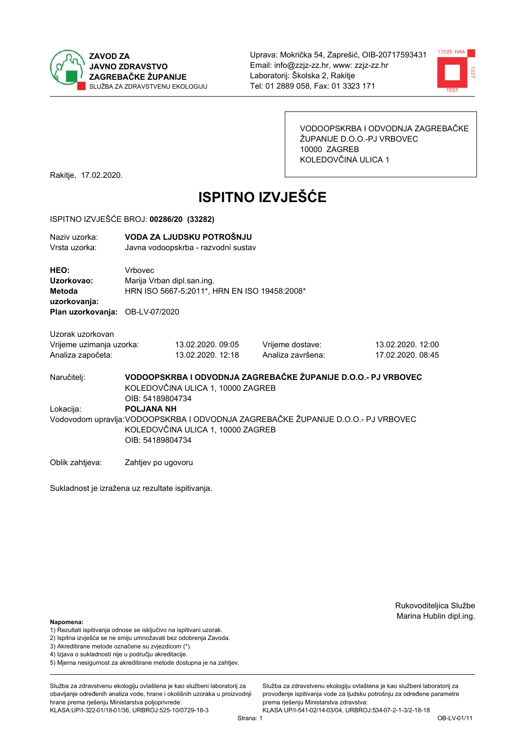



VODOOPSKRBA I ODVODNJA ZAGREBAČKE ŽUPANIJE D.O.O.-PJ VRBOVEC 10000 ZAGREB KOLEDOVČINA ULICA 1

Rakitje, 17.02.2020.

# **ISPITNO IZVJEŠĆE**

#### ISPITNO IZVJEŠĆE BROJ: 00286/20 (33282)

| Naziv uzorka: | VODA ZA LJUDSKU POTROŠNJU           |
|---------------|-------------------------------------|
| Vrsta uzorka: | Javna vodoopskrba - razvodni sustav |

HEO: Vrbovec Uzorkovao: Mariia Vrban dipl.san.ing. Metoda HRN ISO 5667-5:2011\*, HRN EN ISO 19458:2008\* uzorkovanja: Plan uzorkovanja: OB-LV-07/2020

Uzorak uzorkovan Vrijeme uzimanja uzorka: Analiza započeta:

13.02.2020.09:05 13.02.2020, 12:18 Vrijeme dostave: Analiza završena:

13.02.2020. 12:00 17.02.2020. 08:45

VODOOPSKRBA I ODVODNJA ZAGREBAČKE ŽUPANIJE D.O.O.- PJ VRBOVEC Naručitelj: KOLEDOVČINA ULICA 1, 10000 ZAGREB OIB: 54189804734 Lokacija: **POLJANA NH** Vodovodom upravlja: VODOOPSKRBA I ODVODNJA ZAGREBAČKE ŽUPANIJE D.O.O.- PJ VRBOVEC KOLEDOVČINA ULICA 1, 10000 ZAGREB OIB: 54189804734

Oblik zahtjeva: Zahtjev po ugovoru

Sukladnost je izražena uz rezultate ispitivanja.

Rukovoditeljica Službe Marina Hublin dipl.ing.

Napomena:

- 1) Rezultati ispitivanja odnose se isključivo na ispitivani uzorak.
- 2) Ispitna izvješća se ne smiju umnožavati bez odobrenja Zavoda.

3) Akreditirane metode označene su zvjezdicom (\*).

- 4) Iziava o sukladnosti nije u područiu akreditacije.
- 5) Mjerna nesigurnost za akreditirane metode dostupna je na zahtjev.

Služba za zdravstvenu ekologiju ovlaštena je kao službeni laboratorij za obavlianie određenih analiza vode, hrane i okolišnih uzoraka u proizvodniji hrane prema rješenju Ministarstva poljoprivrede:

KLASA: UP/I-322-01/18-01/36, URBROJ: 525-10/0729-18-3

Služba za zdravstvenu ekologiju ovlaštena je kao službeni laboratorij za provođenie ispitivania vode za liudsku potrošniu za određene parametre prema riešenju Ministarstva zdravstva: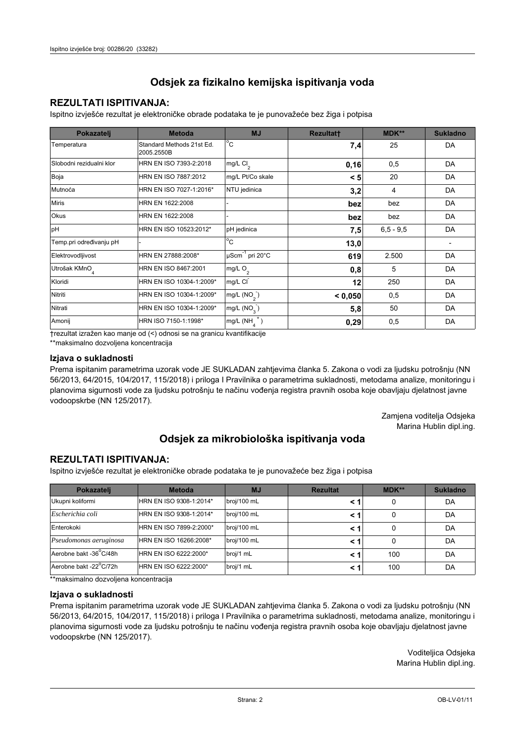## **REZULTATI ISPITIVANJA:**

Ispitno izviešće rezultat je elektroničke obrade podataka te je punovažeće bez žiga i potpisa

| Pokazatelj                | <b>Metoda</b>                           | <b>MJ</b>               | <b>Rezultatt</b> | <b>MDK**</b>  | <b>Sukladno</b> |
|---------------------------|-----------------------------------------|-------------------------|------------------|---------------|-----------------|
| Temperatura               | Standard Methods 21st Ed.<br>2005.2550B | $^{\circ}$ C            | 7,4              | 25            | DA              |
| Slobodni rezidualni klor  | HRN EN ISO 7393-2:2018                  | mg/L $Cl2$              | 0,16             | 0,5           | DA              |
| Boja                      | HRN EN ISO 7887:2012                    | mg/L Pt/Co skale        | < 5              | 20            | DA              |
| Mutnoća                   | HRN EN ISO 7027-1:2016*                 | NTU jedinica            | 3,2              | 4             | DA              |
| <b>Miris</b>              | HRN EN 1622:2008                        |                         | bez              | bez           | DA              |
| <b>Okus</b>               | HRN EN 1622:2008                        |                         | bez              | bez           | DA              |
| pH                        | HRN EN ISO 10523:2012*                  | pH jedinica             | 7,5              | $6, 5 - 9, 5$ | DA              |
| Temp.pri određivanju pH   |                                         | $^{\circ}$ C            | 13,0             |               |                 |
| Elektrovodljivost         | HRN EN 27888:2008*                      | µScm-1 pri 20°C         | 619              | 2.500         | DA              |
| Utrošak KMnO <sub>4</sub> | HRN EN ISO 8467:2001                    | mg/L $O_2$              | 0,8              | 5             | DA              |
| Kloridi                   | HRN EN ISO 10304-1:2009*                | mg/L CI                 | 12               | 250           | DA              |
| Nitriti                   | HRN EN ISO 10304-1:2009*                | mg/L $(NO2)$            | < 0,050          | 0,5           | DA              |
| Nitrati                   | HRN EN ISO 10304-1:2009*                | mg/L (NO <sub>3</sub> ) | 5,8              | 50            | DA              |
| Amonij                    | HRN ISO 7150-1:1998*                    | mg/L (NH                | 0,29             | 0,5           | DA              |

trezultat izražen kao manje od (<) odnosi se na granicu kvantifikacije

\*\*maksimalno dozvoljena koncentracija

## Izjava o sukladnosti

Prema ispitanim parametrima uzorak vode JE SUKLADAN zahtievima članka 5. Zakona o vodi za ljudsku potrošnju (NN 56/2013, 64/2015, 104/2017, 115/2018) i priloga I Pravilnika o parametrima sukladnosti, metodama analize, monitoringu i planovima sigurnosti vode za ljudsku potrošnju te načinu vođenja registra pravnih osoba koje obavljaju djelatnost javne vodoopskrbe (NN 125/2017).

> Zamjena voditelja Odsjeka Marina Hublin dipl.ing.

## Odsjek za mikrobiološka ispitivanja voda

## **REZULTATI ISPITIVANJA:**

Ispitno izvješće rezultat je elektroničke obrade podataka te je punovažeće bez žiga i potpisa

| Pokazatelj             | <b>Metoda</b>           | <b>MJ</b>   | <b>Rezultat</b> | MDK** | <b>Sukladno</b> |
|------------------------|-------------------------|-------------|-----------------|-------|-----------------|
| Ukupni koliformi       | HRN EN ISO 9308-1:2014* | broj/100 mL |                 |       | DA              |
| Escherichia coli       | HRN EN ISO 9308-1:2014* | broj/100 mL | < 1             |       | DA              |
| Enterokoki             | HRN EN ISO 7899-2:2000* | broj/100 mL | < '             |       | DA              |
| Pseudomonas aeruginosa | HRN EN ISO 16266:2008*  | broj/100 mL | < 1             | 0     | DA              |
| Aerobne bakt -36 C/48h | HRN EN ISO 6222:2000*   | broj/1 mL   |                 | 100   | DA              |
| Aerobne bakt -22°C/72h | HRN EN ISO 6222:2000*   | broj/1 mL   | < 1             | 100   | DA              |

\*\* maksimalno dozvoljena koncentracija

## Izjava o sukladnosti

Prema ispitanim parametrima uzorak vode JE SUKLADAN zahtjevima članka 5. Zakona o vodi za ljudsku potrošnju (NN 56/2013, 64/2015, 104/2017, 115/2018) i priloga I Pravilnika o parametrima sukladnosti, metodama analize, monitoringu i planovima sigurnosti vode za ljudsku potrošnju te načinu vođenja registra pravnih osoba koje obavljaju djelatnost javne vodoopskrbe (NN 125/2017).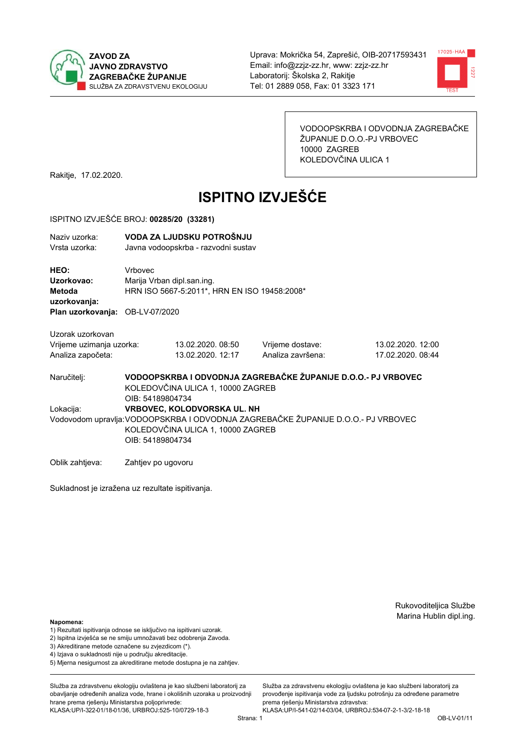



VODOOPSKRBA I ODVODNJA ZAGREBAČKE ŽUPANIJE D.O.O.-PJ VRBOVEC 10000 ZAGREB KOLEDOVČINA ULICA 1

Rakitje, 17.02.2020.

# **ISPITNO IZVJEŠĆE**

#### ISPITNO IZVJEŠĆE BROJ: 00285/20 (33281)

| Naziv uzorka:<br>Vrsta uzorka:                                                  |                  | VODA ZA LJUDSKU POTROŠNJU<br>Javna vodoopskrba - razvodni sustav           |                                                                                   |                                        |  |
|---------------------------------------------------------------------------------|------------------|----------------------------------------------------------------------------|-----------------------------------------------------------------------------------|----------------------------------------|--|
| HEO:<br>Uzorkovao:<br>Metoda<br>uzorkovanja:<br>Plan uzorkovanja: OB-LV-07/2020 | Vrbovec          | Marija Vrban dipl.san.ing.<br>HRN ISO 5667-5:2011*, HRN EN ISO 19458:2008* |                                                                                   |                                        |  |
| Uzorak uzorkovan<br>Vrijeme uzimanja uzorka:<br>Analiza započeta:               |                  | 13.02.2020.08:50<br>13.02.2020. 12:17                                      | Vrijeme dostave:<br>Analiza završena:                                             | 13.02.2020. 12:00<br>17.02.2020. 08:44 |  |
| Naručitelj:                                                                     | OIB: 54189804734 | KOLEDOVČINA ULICA 1, 10000 ZAGREB                                          | VODOOPSKRBA I ODVODNJA ZAGREBAČKE ŽUPANIJE D.O.O.- PJ VRBOVEC                     |                                        |  |
| Lokacija:                                                                       | OIB: 54189804734 | <b>VRBOVEC, KOLODVORSKA UL. NH</b><br>KOLEDOVČINA ULICA 1, 10000 ZAGREB    | Vodovodom upravlja: VODOOPSKRBA I ODVODNJA ZAGREBAČKE ŽUPANIJE D.O.O.- PJ VRBOVEC |                                        |  |

Oblik zahtjeva: Zahtjev po ugovoru

Sukladnost je izražena uz rezultate ispitivanja.

Rukovoditeljica Službe Marina Hublin dipl.ing.

#### Napomena:

- 1) Rezultati ispitivanja odnose se isključivo na ispitivani uzorak.
- 2) Ispitna izvješća se ne smiju umnožavati bez odobrenja Zavoda.

3) Akreditirane metode označene su zvjezdicom (\*).

- 4) Iziava o sukladnosti nije u području akreditacije.
- 5) Mjerna nesigurnost za akreditirane metode dostupna je na zahtjev.

Služba za zdravstvenu ekologiju ovlaštena je kao službeni laboratorij za obavlianie određenih analiza vode, hrane i okolišnih uzoraka u proizvodniji hrane prema rješenju Ministarstva poljoprivrede: KLASA: UP/I-322-01/18-01/36, URBROJ: 525-10/0729-18-3

prema rješenju Ministarstva zdravstva: KLASA:UP/I-541-02/14-03/04, URBROJ:534-07-2-1-3/2-18-18 Strana: 1

Služba za zdravstvenu ekologiju ovlaštena je kao službeni laboratorij za

provođenie ispitivania vode za liudsku potrošniu za određene parametre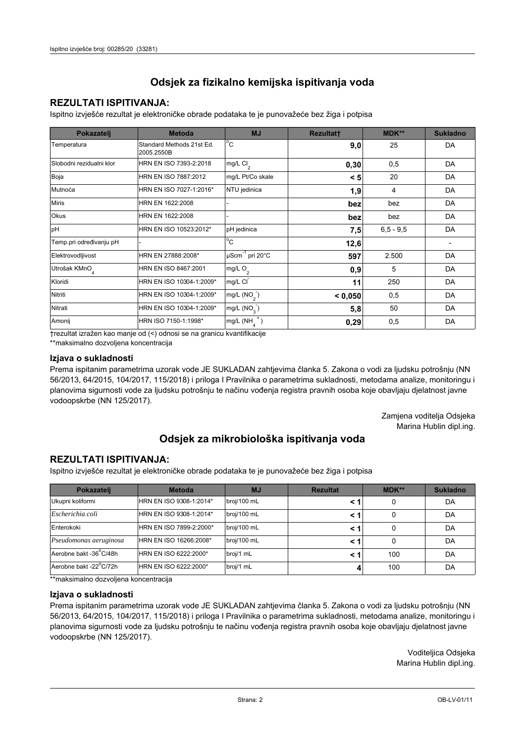## **REZULTATI ISPITIVANJA:**

Ispitno izviešće rezultat je elektroničke obrade podataka te je punovažeće bez žiga i potpisa

| Pokazatelj                | <b>Metoda</b>                           | <b>MJ</b>               | <b>Rezultatt</b> | <b>MDK**</b>  | <b>Sukladno</b> |
|---------------------------|-----------------------------------------|-------------------------|------------------|---------------|-----------------|
| Temperatura               | Standard Methods 21st Ed.<br>2005.2550B | $^{\circ}$ C            | 9,0              | 25            | DA              |
| Slobodni rezidualni klor  | HRN EN ISO 7393-2:2018                  | mg/L $Cl2$              | 0,30             | 0,5           | DA              |
| Boja                      | HRN EN ISO 7887:2012                    | mg/L Pt/Co skale        | < 5              | 20            | DA              |
| Mutnoća                   | HRN EN ISO 7027-1:2016*                 | NTU jedinica            | 1,9              | 4             | DA              |
| <b>Miris</b>              | HRN EN 1622:2008                        |                         | bez              | bez           | DA              |
| Okus                      | HRN EN 1622:2008                        |                         | bez              | bez           | DA              |
| pH                        | HRN EN ISO 10523:2012*                  | pH jedinica             | 7,5              | $6, 5 - 9, 5$ | DA              |
| Temp.pri određivanju pH   |                                         | $^{\circ}$ C            | 12,6             |               |                 |
| Elektrovodljivost         | HRN EN 27888:2008*                      | µScm-1 pri 20°C         | 597              | 2.500         | DA              |
| Utrošak KMnO <sub>4</sub> | HRN EN ISO 8467:2001                    | mg/L $O2$               | 0,9              | 5             | DA              |
| Kloridi                   | HRN EN ISO 10304-1:2009*                | mg/L CI                 | 11               | 250           | DA              |
| Nitriti                   | HRN EN ISO 10304-1:2009*                | mg/L (NO <sub>2</sub> ) | < 0.050          | 0,5           | DA              |
| Nitrati                   | HRN EN ISO 10304-1:2009*                | mg/L $(NO_{\rm q}^-)$   | 5,8              | 50            | DA              |
| Amonij                    | HRN ISO 7150-1:1998*                    | mg/L (NH                | 0,29             | 0,5           | DA              |

trezultat izražen kao manje od (<) odnosi se na granicu kvantifikacije

\*\*maksimalno dozvoljena koncentracija

## Izjava o sukladnosti

Prema ispitanim parametrima uzorak vode JE SUKLADAN zahtievima članka 5. Zakona o vodi za ljudsku potrošnju (NN 56/2013, 64/2015, 104/2017, 115/2018) i priloga I Pravilnika o parametrima sukladnosti, metodama analize, monitoringu i planovima sigurnosti vode za ljudsku potrošnju te načinu vođenja registra pravnih osoba koje obavljaju djelatnost javne vodoopskrbe (NN 125/2017).

> Zamjena voditelja Odsjeka Marina Hublin dipl.ing.

## Odsjek za mikrobiološka ispitivanja voda

## **REZULTATI ISPITIVANJA:**

Ispitno izvješće rezultat je elektroničke obrade podataka te je punovažeće bez žiga i potpisa

| Pokazatelj             | <b>Metoda</b>           | <b>MJ</b>   | <b>Rezultat</b> | MDK** | <b>Sukladno</b> |
|------------------------|-------------------------|-------------|-----------------|-------|-----------------|
| Ukupni koliformi       | HRN EN ISO 9308-1:2014* | broj/100 mL |                 |       | DA              |
| Escherichia coli       | HRN EN ISO 9308-1:2014* | broj/100 mL | < 1             |       | DA              |
| Enterokoki             | HRN EN ISO 7899-2:2000* | broj/100 mL | < '             |       | DA              |
| Pseudomonas aeruginosa | HRN EN ISO 16266:2008*  | broj/100 mL | < 1             | 0     | DA              |
| Aerobne bakt -36 C/48h | HRN EN ISO 6222:2000*   | broj/1 mL   |                 | 100   | DA              |
| Aerobne bakt -22°C/72h | HRN EN ISO 6222:2000*   | broj/1 mL   |                 | 100   | DA              |

\*\*maksimalno dozvoljena koncentracija

## Izjava o sukladnosti

Prema ispitanim parametrima uzorak vode JE SUKLADAN zahtjevima članka 5. Zakona o vodi za ljudsku potrošnju (NN 56/2013, 64/2015, 104/2017, 115/2018) i priloga I Pravilnika o parametrima sukladnosti, metodama analize, monitoringu i planovima sigurnosti vode za ljudsku potrošnju te načinu vođenja registra pravnih osoba koje obavljaju djelatnost javne vodoopskrbe (NN 125/2017).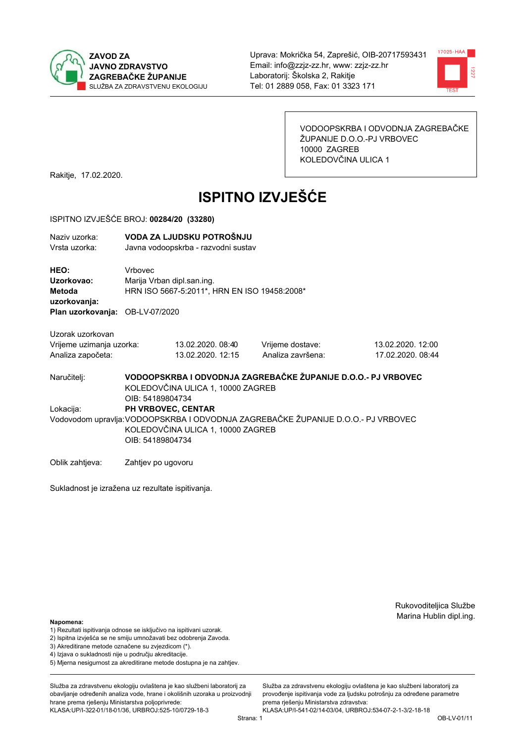



VODOOPSKRBA I ODVODNJA ZAGREBAČKE ŽUPANIJE D.O.O.-PJ VRBOVEC 10000 ZAGREB KOLEDOVČINA ULICA 1

Rakitje, 17.02.2020.

# **ISPITNO IZVJEŠĆE**

#### ISPITNO IZVJEŠĆE BROJ: 00284/20 (33280)

| Plan uzorkovanja: OB-LV-07/2020        |                                       |                                                                                                                                                                                                                                                                                                                                                                                           |  |
|----------------------------------------|---------------------------------------|-------------------------------------------------------------------------------------------------------------------------------------------------------------------------------------------------------------------------------------------------------------------------------------------------------------------------------------------------------------------------------------------|--|
| Vrijeme uzimanja uzorka:               | Vrijeme dostave:<br>Analiza završena: | 13.02.2020. 12:00<br>17.02.2020. 08:44                                                                                                                                                                                                                                                                                                                                                    |  |
| OIB: 54189804734                       |                                       |                                                                                                                                                                                                                                                                                                                                                                                           |  |
| PH VRBOVEC, CENTAR<br>OIB: 54189804734 |                                       |                                                                                                                                                                                                                                                                                                                                                                                           |  |
|                                        | Vrbovec<br>Marija Vrban dipl.san.ing. | VODA ZA LJUDSKU POTROŠNJU<br>Javna vodoopskrba - razvodni sustav<br>HRN ISO 5667-5:2011*, HRN EN ISO 19458:2008*<br>13.02.2020. 08:40<br>13.02.2020. 12:15<br>VODOOPSKRBA I ODVODNJA ZAGREBAČKE ŽUPANIJE D.O.O.- PJ VRBOVEC<br>KOLEDOVČINA ULICA 1, 10000 ZAGREB<br>Vodovodom upravlja:VODOOPSKRBA I ODVODNJA ZAGREBAČKE ŽUPANIJE D.O.O.- PJ VRBOVEC<br>KOLEDOVČINA ULICA 1, 10000 ZAGREB |  |

Oblik zahtjeva: Zahtjev po ugovoru

Sukladnost je izražena uz rezultate ispitivanja.

Rukovoditeljica Službe Marina Hublin dipl.ing.

#### Napomena:

- 1) Rezultati ispitivanja odnose se isključivo na ispitivani uzorak.
- 2) Ispitna izvješća se ne smiju umnožavati bez odobrenja Zavoda.
- 3) Akreditirane metode označene su zvjezdicom (\*).
- 4) Iziava o sukladnosti nije u području akreditacije.
- 5) Mjerna nesigurnost za akreditirane metode dostupna je na zahtjev.

Služba za zdravstvenu ekologiju ovlaštena je kao službeni laboratorij za obavlianie određenih analiza vode, hrane i okolišnih uzoraka u proizvodniji hrane prema rješenju Ministarstva poljoprivrede: KLASA: UP/I-322-01/18-01/36, URBROJ: 525-10/0729-18-3

Služba za zdravstvenu ekologiju ovlaštena je kao službeni laboratorij za provođenie ispitivania vode za liudsku potrošniu za određene parametre prema rješenju Ministarstva zdravstva: KLASA:UP/I-541-02/14-03/04, URBROJ:534-07-2-1-3/2-18-18

Strana: 1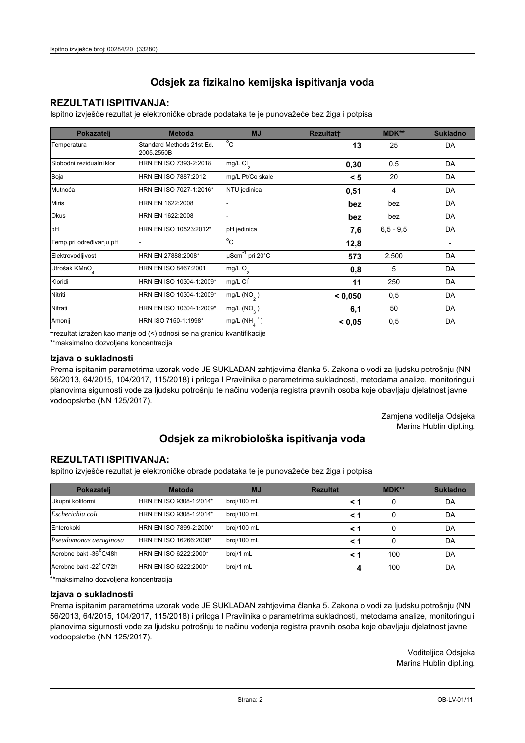## **REZULTATI ISPITIVANJA:**

Ispitno izviešće rezultat je elektroničke obrade podataka te je punovažeće bez žiga i potpisa

| Pokazatelj                | <b>Metoda</b>                           | <b>MJ</b>               | <b>Rezultatt</b> | <b>MDK**</b>  | <b>Sukladno</b> |
|---------------------------|-----------------------------------------|-------------------------|------------------|---------------|-----------------|
| Temperatura               | Standard Methods 21st Ed.<br>2005.2550B | $^{\circ}$ C            | 13               | 25            | DA              |
| Slobodni rezidualni klor  | HRN EN ISO 7393-2:2018                  | mg/L $Cl2$              | 0,30             | 0,5           | DA              |
| Boja                      | HRN EN ISO 7887:2012                    | mg/L Pt/Co skale        | < 5              | 20            | DA              |
| Mutnoća                   | HRN EN ISO 7027-1:2016*                 | NTU jedinica            | 0,51             | 4             | DA              |
| <b>Miris</b>              | HRN EN 1622:2008                        |                         | bez              | bez           | DA              |
| Okus                      | HRN EN 1622:2008                        |                         | bez              | bez           | DA              |
| pH                        | HRN EN ISO 10523:2012*                  | pH jedinica             | 7,6              | $6, 5 - 9, 5$ | DA              |
| Temp.pri određivanju pH   |                                         | $^{\circ}$ C            | 12,8             |               |                 |
| Elektrovodljivost         | HRN EN 27888:2008*                      | µScm-1 pri 20°C         | 573              | 2.500         | DA              |
| Utrošak KMnO <sub>4</sub> | HRN EN ISO 8467:2001                    | mg/L $O2$               | 0,8              | 5             | DA              |
| Kloridi                   | HRN EN ISO 10304-1:2009*                | mg/L CI                 | 11               | 250           | DA              |
| Nitriti                   | HRN EN ISO 10304-1:2009*                | mg/L (NO <sub>2</sub> ) | < 0.050          | 0,5           | DA              |
| Nitrati                   | HRN EN ISO 10304-1:2009*                | mg/L (NO <sub>3</sub> ) | 6,1              | 50            | DA              |
| Amonij                    | HRN ISO 7150-1:1998*                    | mg/L (NH                | < 0,05           | 0,5           | DA              |

trezultat izražen kao manje od (<) odnosi se na granicu kvantifikacije

\*\*maksimalno dozvoljena koncentracija

## Izjava o sukladnosti

Prema ispitanim parametrima uzorak vode JE SUKLADAN zahtievima članka 5. Zakona o vodi za ljudsku potrošnju (NN 56/2013, 64/2015, 104/2017, 115/2018) i priloga I Pravilnika o parametrima sukladnosti, metodama analize, monitoringu i planovima sigurnosti vode za ljudsku potrošnju te načinu vođenja registra pravnih osoba koje obavljaju djelatnost javne vodoopskrbe (NN 125/2017).

> Zamjena voditelja Odsjeka Marina Hublin dipl.ing.

## Odsjek za mikrobiološka ispitivanja voda

## **REZULTATI ISPITIVANJA:**

Ispitno izvješće rezultat je elektroničke obrade podataka te je punovažeće bez žiga i potpisa

| Pokazatelj             | <b>Metoda</b>           | <b>MJ</b>   | <b>Rezultat</b> | MDK** | <b>Sukladno</b> |
|------------------------|-------------------------|-------------|-----------------|-------|-----------------|
| Ukupni koliformi       | HRN EN ISO 9308-1:2014* | broj/100 mL |                 |       | DA              |
| Escherichia coli       | HRN EN ISO 9308-1:2014* | broj/100 mL | < 1             |       | DA              |
| Enterokoki             | HRN EN ISO 7899-2:2000* | broj/100 mL | < '             |       | DA              |
| Pseudomonas aeruginosa | HRN EN ISO 16266:2008*  | broj/100 mL | < 1             | 0     | DA              |
| Aerobne bakt -36 C/48h | HRN EN ISO 6222:2000*   | broj/1 mL   |                 | 100   | DA              |
| Aerobne bakt -22°C/72h | HRN EN ISO 6222:2000*   | broj/1 mL   |                 | 100   | DA              |

\*\*maksimalno dozvoljena koncentracija

## Izjava o sukladnosti

Prema ispitanim parametrima uzorak vode JE SUKLADAN zahtjevima članka 5. Zakona o vodi za ljudsku potrošnju (NN 56/2013, 64/2015, 104/2017, 115/2018) i priloga I Pravilnika o parametrima sukladnosti, metodama analize, monitoringu i planovima sigurnosti vode za ljudsku potrošnju te načinu vođenja registra pravnih osoba koje obavljaju djelatnost javne vodoopskrbe (NN 125/2017).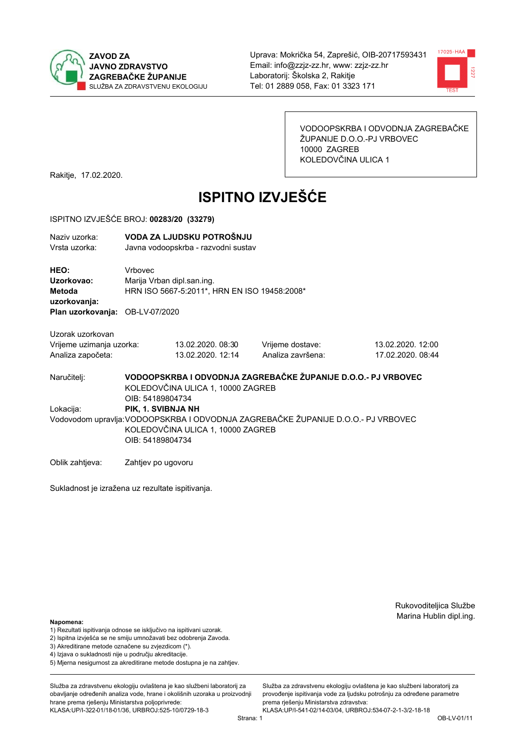



VODOOPSKRBA I ODVODNJA ZAGREBAČKE ŽUPANIJE D.O.O.-PJ VRBOVEC 10000 ZAGREB KOLEDOVČINA ULICA 1

Rakitje, 17.02.2020.

# **ISPITNO IZVJEŠĆE**

#### ISPITNO IZVJEŠĆE BROJ: 00283/20 (33279)

| Naziv uzorka:<br>Vrsta uzorka:  |         | VODA ZA LJUDSKU POTROŠNJU<br>Javna vodoopskrba - razvodni sustav |                   |                   |  |  |
|---------------------------------|---------|------------------------------------------------------------------|-------------------|-------------------|--|--|
| HEO:                            | Vrbovec |                                                                  |                   |                   |  |  |
| Uzorkovao:                      |         | Marija Vrban dipl.san.ing.                                       |                   |                   |  |  |
| Metoda                          |         | HRN ISO 5667-5:2011*, HRN EN ISO 19458:2008*                     |                   |                   |  |  |
| uzorkovanja:                    |         |                                                                  |                   |                   |  |  |
| Plan uzorkovanja: OB-LV-07/2020 |         |                                                                  |                   |                   |  |  |
| Uzorak uzorkovan                |         |                                                                  |                   |                   |  |  |
| Vrijeme uzimanja uzorka:        |         | 13.02.2020. 08:30                                                | Vrijeme dostave:  | 13.02.2020. 12:00 |  |  |
| Analiza započeta:               |         | 13.02.2020. 12:14                                                | Analiza završena: | 17.02.2020. 08:44 |  |  |
|                                 |         |                                                                  |                   |                   |  |  |

VODOOPSKRBA I ODVODNJA ZAGREBAČKE ŽUPANIJE D.O.O.- PJ VRBOVEC Naručitelj: KOLEDOVČINA ULICA 1, 10000 ZAGREB OIB: 54189804734 Lokacija: PIK. 1. SVIBNJA NH Vodovodom upravlja: VODOOPSKRBA I ODVODNJA ZAGREBAČKE ŽUPANIJE D.O.O.- PJ VRBOVEC KOLEDOVČINA ULICA 1, 10000 ZAGREB OIB: 54189804734

Oblik zahtjeva: Zahtjev po ugovoru

Sukladnost je izražena uz rezultate ispitivanja.

Rukovoditeljica Službe Marina Hublin dipl.ing.

#### Napomena:

- 1) Rezultati ispitivanja odnose se isključivo na ispitivani uzorak.
- 2) Ispitna izvješća se ne smiju umnožavati bez odobrenja Zavoda.

3) Akreditirane metode označene su zvjezdicom (\*).

- 4) Iziava o sukladnosti nije u području akreditacije.
- 5) Mjerna nesigurnost za akreditirane metode dostupna je na zahtjev.

Služba za zdravstvenu ekologiju ovlaštena je kao službeni laboratorij za obavlianie određenih analiza vode, hrane i okolišnih uzoraka u proizvodniji hrane prema rješenju Ministarstva poljoprivrede: KLASA: UP/I-322-01/18-01/36, URBROJ: 525-10/0729-18-3

Služba za zdravstvenu ekologiju ovlaštena je kao službeni laboratorij za provođenie ispitivania vode za liudsku potrošniu za određene parametre prema rješenju Ministarstva zdravstva:

KLASA:UP/I-541-02/14-03/04, URBROJ:534-07-2-1-3/2-18-18 Strana: 1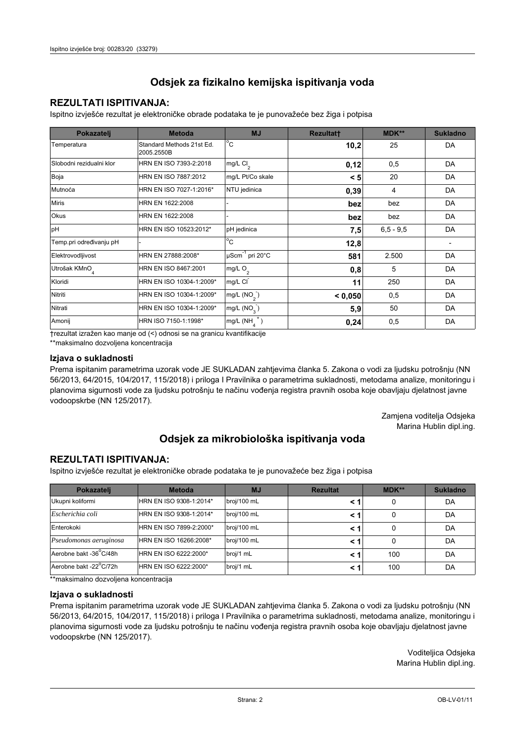## **REZULTATI ISPITIVANJA:**

Ispitno izviešće rezultat je elektroničke obrade podataka te je punovažeće bez žiga i potpisa

| Pokazatelj                | <b>Metoda</b>                           | <b>MJ</b>                   | <b>Rezultatt</b> | <b>MDK**</b>  | <b>Sukladno</b> |
|---------------------------|-----------------------------------------|-----------------------------|------------------|---------------|-----------------|
| Temperatura               | Standard Methods 21st Ed.<br>2005.2550B | $^{\circ}$ C                | 10,2             | 25            | DA              |
| Slobodni rezidualni klor  | HRN EN ISO 7393-2:2018                  | mg/L $Cl2$                  | 0,12             | 0,5           | DA              |
| Boja                      | HRN EN ISO 7887:2012                    | mg/L Pt/Co skale            | < 5              | 20            | DA              |
| Mutnoća                   | HRN EN ISO 7027-1:2016*                 | NTU jedinica                | 0,39             | 4             | DA              |
| <b>Miris</b>              | HRN EN 1622:2008                        |                             | bez              | bez           | DA              |
| <b>Okus</b>               | HRN EN 1622:2008                        |                             | bez              | bez           | DA              |
| pH                        | HRN EN ISO 10523:2012*                  | pH jedinica                 | 7,5              | $6, 5 - 9, 5$ | DA              |
| Temp.pri određivanju pH   |                                         | $^{\circ}$ C                | 12,8             |               |                 |
| Elektrovodljivost         | HRN EN 27888:2008*                      | µScm <sup>-1</sup> pri 20°C | 581              | 2.500         | DA              |
| Utrošak KMnO <sub>4</sub> | HRN EN ISO 8467:2001                    | mg/L $O_2$                  | 0,8              | 5             | DA              |
| Kloridi                   | HRN EN ISO 10304-1:2009*                | mg/L CI                     | 11               | 250           | DA              |
| Nitriti                   | HRN EN ISO 10304-1:2009*                | mg/L $(NO2)$                | < 0,050          | 0,5           | DA              |
| Nitrati                   | HRN EN ISO 10304-1:2009*                | mg/L (NO <sub>3</sub> )     | 5,9              | 50            | DA              |
| Amonij                    | HRN ISO 7150-1:1998*                    | mg/L (NH                    | 0,24             | 0,5           | DA              |

trezultat izražen kao manje od (<) odnosi se na granicu kvantifikacije

\*\*maksimalno dozvoljena koncentracija

## Izjava o sukladnosti

Prema ispitanim parametrima uzorak vode JE SUKLADAN zahtievima članka 5. Zakona o vodi za ljudsku potrošnju (NN 56/2013, 64/2015, 104/2017, 115/2018) i priloga I Pravilnika o parametrima sukladnosti, metodama analize, monitoringu i planovima sigurnosti vode za ljudsku potrošnju te načinu vođenja registra pravnih osoba koje obavljaju djelatnost javne vodoopskrbe (NN 125/2017).

> Zamjena voditelja Odsjeka Marina Hublin dipl.ing.

## Odsjek za mikrobiološka ispitivanja voda

## **REZULTATI ISPITIVANJA:**

Ispitno izvješće rezultat je elektroničke obrade podataka te je punovažeće bez žiga i potpisa

| Pokazatelj             | <b>Metoda</b>           | <b>MJ</b>   | <b>Rezultat</b> | MDK** | <b>Sukladno</b> |
|------------------------|-------------------------|-------------|-----------------|-------|-----------------|
| Ukupni koliformi       | HRN EN ISO 9308-1:2014* | broj/100 mL |                 |       | DA              |
| Escherichia coli       | HRN EN ISO 9308-1:2014* | broj/100 mL | < 1             |       | DA              |
| Enterokoki             | HRN EN ISO 7899-2:2000* | broj/100 mL | < '             |       | DA              |
| Pseudomonas aeruginosa | HRN EN ISO 16266:2008*  | broj/100 mL | < 1             | 0     | DA              |
| Aerobne bakt -36 C/48h | HRN EN ISO 6222:2000*   | broj/1 mL   |                 | 100   | DA              |
| Aerobne bakt -22°C/72h | HRN EN ISO 6222:2000*   | broj/1 mL   | < 1             | 100   | DA              |

\*\*maksimalno dozvoljena koncentracija

## Izjava o sukladnosti

Prema ispitanim parametrima uzorak vode JE SUKLADAN zahtjevima članka 5. Zakona o vodi za ljudsku potrošnju (NN 56/2013, 64/2015, 104/2017, 115/2018) i priloga I Pravilnika o parametrima sukladnosti, metodama analize, monitoringu i planovima sigurnosti vode za ljudsku potrošnju te načinu vođenja registra pravnih osoba koje obavljaju djelatnost javne vodoopskrbe (NN 125/2017).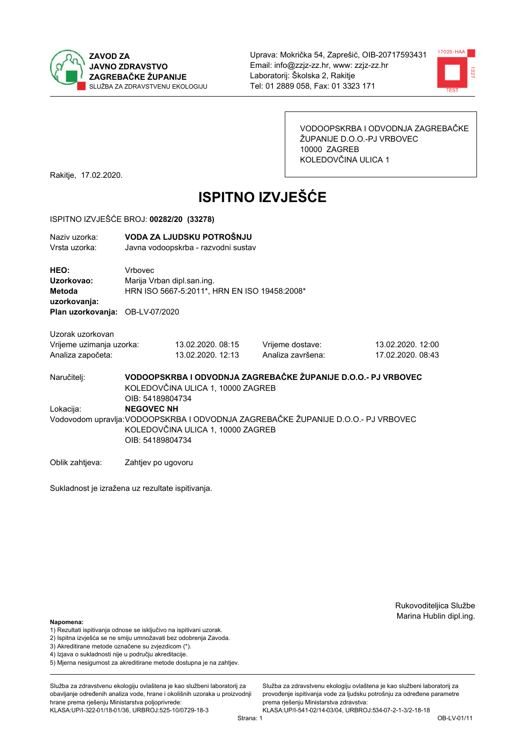



VODOOPSKRBA I ODVODNJA ZAGREBAČKE ŽUPANIJE D.O.O.-PJ VRBOVEC 10000 ZAGREB KOLEDOVČINA ULICA 1

Rakitje, 17.02.2020.

# **ISPITNO IZVJEŠĆE**

#### ISPITNO IZVJEŠĆE BROJ: 00282/20 (33278)

| Naziv uzorka: | VODA ZA LJUDSKU POTROŠNJU           |
|---------------|-------------------------------------|
| Vrsta uzorka: | Javna vodoopskrba - razvodni sustav |

HEO: Vrbovec Uzorkovao: Mariia Vrban dipl.san.ing. Metoda HRN ISO 5667-5:2011\*, HRN EN ISO 19458:2008\* uzorkovanja: Plan uzorkovanja: OB-LV-07/2020

Uzorak uzorkovan Vrijeme uzimanja uzorka: Analiza započeta

| a uzorka: | 13.02.2020. 08:15 |
|-----------|-------------------|
| a:        | 13.02.2020. 12:13 |

Vrijeme dostave: Analiza završena:

13.02.2020. 12:00 17.02.2020, 08:43

VODOOPSKRBA I ODVODNJA ZAGREBAČKE ŽUPANIJE D.O.O.- PJ VRBOVEC Naručitelj: KOLEDOVČINA ULICA 1, 10000 ZAGREB OIB: 54189804734 Lokacija: **NEGOVEC NH** 

Vodovodom upravlja: VODOOPSKRBA I ODVODNJA ZAGREBAČKE ŽUPANIJE D.O.O.- PJ VRBOVEC KOLEDOVČINA ULICA 1, 10000 ZAGREB OIB: 54189804734

Oblik zahtjeva: Zahtjev po ugovoru

Sukladnost je izražena uz rezultate ispitivanja.

Rukovoditeljica Službe Marina Hublin dipl.ing.

Napomena:

- 1) Rezultati ispitivanja odnose se isključivo na ispitivani uzorak.
- 2) Ispitna izvješća se ne smiju umnožavati bez odobrenja Zavoda.

3) Akreditirane metode označene su zvjezdicom (\*).

- 4) Iziava o sukladnosti nije u području akreditacije.
- 5) Mjerna nesigurnost za akreditirane metode dostupna je na zahtjev.

Služba za zdravstvenu ekologiju ovlaštena je kao službeni laboratorij za obavlianie određenih analiza vode, hrane i okolišnih uzoraka u proizvodniji hrane prema rješenju Ministarstva poljoprivrede: KLASA: UP/I-322-01/18-01/36, URBROJ: 525-10/0729-18-3

Služba za zdravstvenu ekologiju ovlaštena je kao službeni laboratorij za provođenie ispitivania vode za liudsku potrošniu za određene parametre prema riešenju Ministarstva zdravstva:

KLASA:UP/I-541-02/14-03/04, URBROJ:534-07-2-1-3/2-18-18 Strana: 1